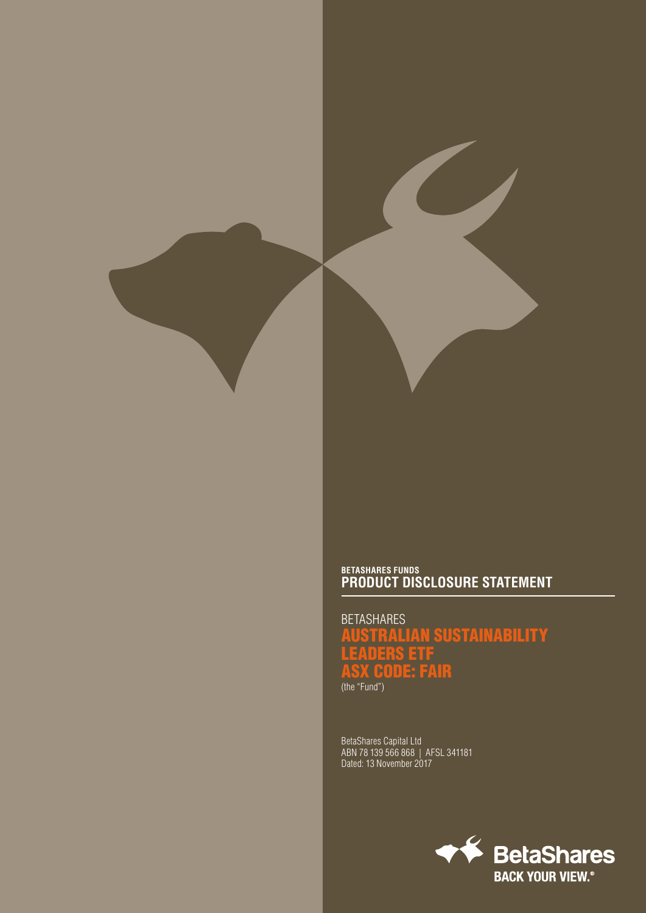# **BETASHARES FUNDS PRODUCT DISCLOSURE STATEMENT**

**BETASHARES** AUSTRALIAN SUSTAINABILITY LEADERS ETF ASX CODE: FAIR (the "Fund")

BetaShares Capital Ltd ABN 78 139 566 868 | AFSL 341181 Dated: 13 November 2017

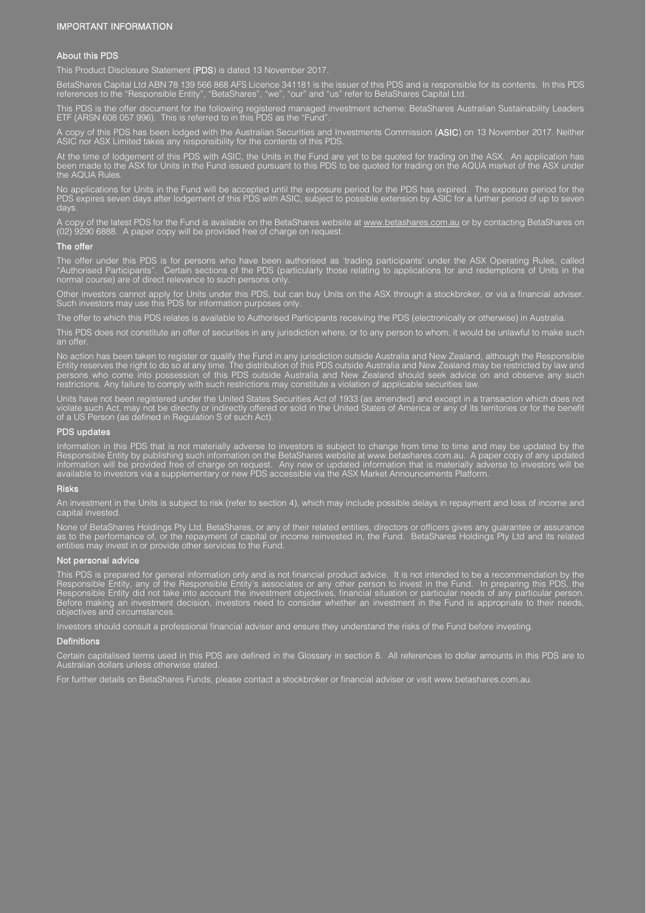#### IMPORTANT INFORMATION

#### About this PDS

This Product Disclosure Statement (PDS) is dated 13 November 2017.

BetaShares Capital Ltd ABN 78 139 566 868 AFS Licence 341181 is the issuer of this PDS and is responsible for its contents. In this PDS references to the "Responsible Entity", "BetaShares", "we", "our" and "us" refer to BetaShares Capital Ltd.

This PDS is the offer document for the following registered managed investment scheme: BetaShares Australian Sustainability Leaders ETF (ARSN 608 057 996). This is referred to in this PDS as the "Fund".

A copy of this PDS has been lodged with the Australian Securities and Investments Commission (ASIC) on 13 November 2017. Neither ASIC nor ASX Limited takes any responsibility for the contents of this PDS.

At the time of lodgement of this PDS with ASIC, the Units in the Fund are yet to be quoted for trading on the ASX. An application has been made to the ASX for Units in the Fund issued pursuant to this PDS to be quoted for trading on the AQUA market of the ASX under the AQUA Rules.

No applications for Units in the Fund will be accepted until the exposure period for the PDS has expired. The exposure period for the PDS expires seven days after lodgement of this PDS with ASIC, subject to possible extension by ASIC for a further period of up to seven days.

A copy of the latest PDS for the Fund is available on the BetaShares website at <u>www.betashares.com.au</u> or by contacting BetaShares on (02) 9290 6888. A paper copy will be provided free of charge on request.

#### The offer

The offer under this PDS is for persons who have been authorised as 'trading participants' under the ASX Operating Rules, called "Authorised Participants". Certain sections of the PDS (particularly those relating to applications for and redemptions of Units in the normal course) are of direct relevance to such persons only.

Other investors cannot apply for Units under this PDS, but can buy Units on the ASX through a stockbroker, or via a financial adviser. Such investors may use this PDS for information purposes only.

The offer to which this PDS relates is available to Authorised Participants receiving the PDS (electronically or otherwise) in Australia.

This PDS does not constitute an offer of securities in any jurisdiction where, or to any person to whom, it would be unlawful to make such an offer.

No action has been taken to register or qualify the Fund in any jurisdiction outside Australia and New Zealand, although the Responsible Entity reserves the right to do so at any time. The distribution of this PDS outside Australia and New Zealand may be restricted by law and persons who come into possession of this PDS outside Australia and New Zealand should seek advice on and observe any such restrictions. Any failure to comply with such restrictions may constitute a violation of applicable securities law.

Units have not been registered under the United States Securities Act of 1933 (as amended) and except in a transaction which does not violate such Act, may not be directly or indirectly offered or sold in the United States of America or any of its territories or for the benefit of a US Person (as defined in Regulation S of such Act).

#### PDS updates

Information in this PDS that is not materially adverse to investors is subject to change from time to time and may be updated by the Responsible Entity by publishing such information on the BetaShares website at www.betashares.com.au. A paper copy of any updated information will be provided free of charge on request. Any new or updated information that is materially adverse to investors will be available to investors via a supplementary or new PDS accessible via the ASX Market Announcements Platform.

#### Risks

An investment in the Units is subject to risk (refer to section 4), which may include possible delays in repayment and loss of income and capital invested.

None of BetaShares Holdings Pty Ltd, BetaShares, or any of their related entities, directors or officers gives any guarantee or assurance as to the performance of, or the repayment of capital or income reinvested in, the Fund. BetaShares Holdings Pty Ltd and its related entities may invest in or provide other services to the Fund.

#### Not personal advice

This PDS is prepared for general information only and is not financial product advice. It is not intended to be a recommendation by the Responsible Entity, any of the Responsible Entity's associates or any other person to invest in the Fund. In preparing this PDS, the Responsible Entity did not take into account the investment objectives, financial situation or particular needs of any particular person. Before making an investment decision, investors need to consider whether an investment in the Fund is appropriate to their needs, objectives and circumstances.

Investors should consult a professional financial adviser and ensure they understand the risks of the Fund before investing.

#### **Definitions**

Certain capitalised terms used in this PDS are defined in the Glossary in section 8. All references to dollar amounts in this PDS are to Australian dollars unless otherwise stated.

For further details on BetaShares Funds, please contact a stockbroker or financial adviser or visit www.betashares.com.au.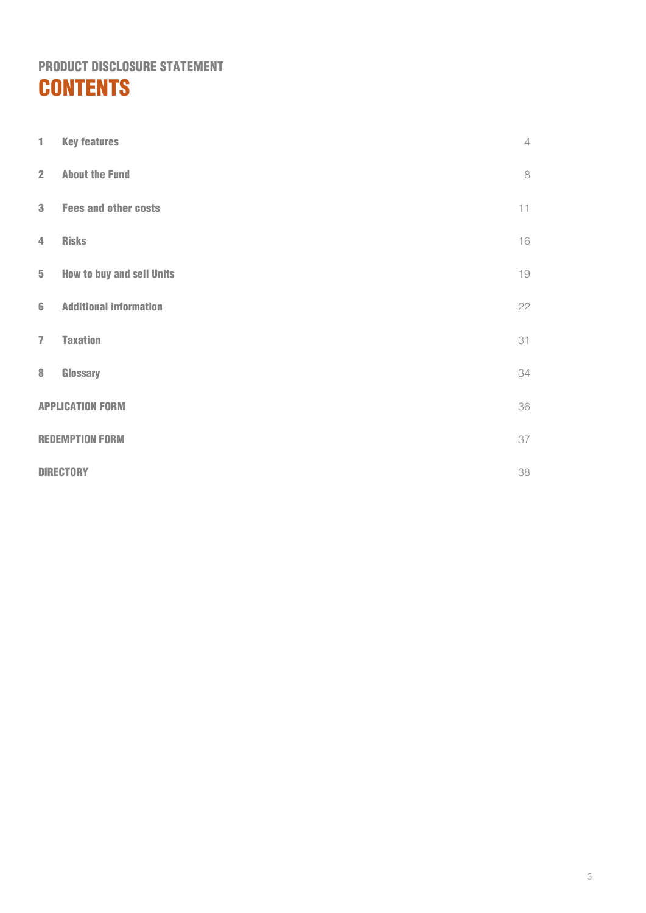# PRODUCT DISCLOSURE STATEMENT **CONTENTS**

| 1                       | <b>Key features</b>              | $\overline{4}$ |
|-------------------------|----------------------------------|----------------|
| $\overline{2}$          | <b>About the Fund</b>            | 8              |
| $\overline{\mathbf{3}}$ | <b>Fees and other costs</b>      | 11             |
| $\overline{4}$          | <b>Risks</b>                     | 16             |
| $5\phantom{.}$          | <b>How to buy and sell Units</b> | 19             |
| $6\phantom{1}$          | <b>Additional information</b>    | 22             |
| $\overline{1}$          | <b>Taxation</b>                  | 31             |
| $\bf 8$                 | Glossary                         | 34             |
|                         | <b>APPLICATION FORM</b>          |                |
|                         | <b>REDEMPTION FORM</b>           |                |
|                         | <b>DIRECTORY</b>                 |                |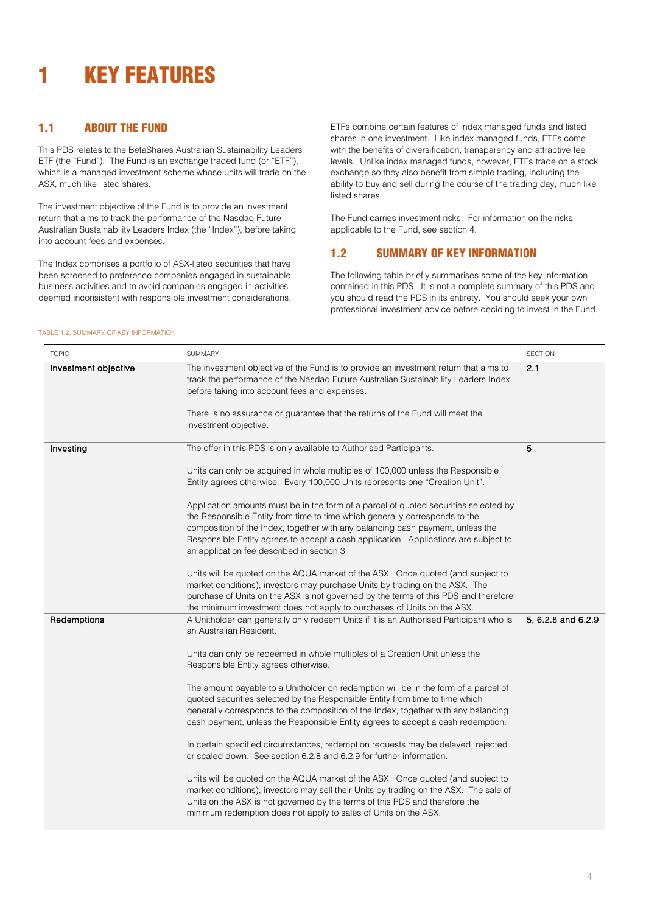# <span id="page-3-0"></span>1 KEY FEATURES

# 1.1 ABOUT THE FUND

This PDS relates to the BetaShares Australian Sustainability Leaders ETF (the "Fund"). The Fund is an exchange traded fund (or "ETF"), which is a managed investment scheme whose units will trade on the ASX, much like listed shares.

The investment objective of the Fund is to provide an investment return that aims to track the performance of the Nasdaq Future Australian Sustainability Leaders Index (the "Index"), before taking into account fees and expenses.

The Index comprises a portfolio of ASX-listed securities that have been screened to preference companies engaged in sustainable business activities and to avoid companies engaged in activities deemed inconsistent with responsible investment considerations.

ETFs combine certain features of index managed funds and listed shares in one investment. Like index managed funds, ETFs come with the benefits of diversification, transparency and attractive fee levels. Unlike index managed funds, however, ETFs trade on a stock exchange so they also benefit from simple trading, including the ability to buy and sell during the course of the trading day, much like listed shares.

The Fund carries investment risks. For information on the risks applicable to the Fund, see section [4.](#page-15-0) 

# 1.2 SUMMARY OF KEY INFORMATION

The following table briefly summarises some of the key information contained in this PDS. It is not a complete summary of this PDS and you should read the PDS in its entirety. You should seek your own professional investment advice before deciding to invest in the Fund.

### TABLE 1.2: SUMMARY OF KEY INFORMATION

| <b>TOPIC</b>         | SUMMARY                                                                                                                                                                                                                                                                                                                                                                                    | <b>SECTION</b>     |
|----------------------|--------------------------------------------------------------------------------------------------------------------------------------------------------------------------------------------------------------------------------------------------------------------------------------------------------------------------------------------------------------------------------------------|--------------------|
| Investment objective | The investment objective of the Fund is to provide an investment return that aims to<br>track the performance of the Nasdaq Future Australian Sustainability Leaders Index,<br>before taking into account fees and expenses.                                                                                                                                                               | 2.1                |
|                      | There is no assurance or guarantee that the returns of the Fund will meet the<br>investment objective.                                                                                                                                                                                                                                                                                     |                    |
| Investing            | The offer in this PDS is only available to Authorised Participants.                                                                                                                                                                                                                                                                                                                        | 5                  |
|                      | Units can only be acquired in whole multiples of 100,000 unless the Responsible<br>Entity agrees otherwise. Every 100,000 Units represents one "Creation Unit".                                                                                                                                                                                                                            |                    |
|                      | Application amounts must be in the form of a parcel of quoted securities selected by<br>the Responsible Entity from time to time which generally corresponds to the<br>composition of the Index, together with any balancing cash payment, unless the<br>Responsible Entity agrees to accept a cash application. Applications are subject to<br>an application fee described in section 3. |                    |
|                      | Units will be quoted on the AQUA market of the ASX. Once quoted (and subject to<br>market conditions), investors may purchase Units by trading on the ASX. The<br>purchase of Units on the ASX is not governed by the terms of this PDS and therefore<br>the minimum investment does not apply to purchases of Units on the ASX.                                                           |                    |
| Redemptions          | A Unitholder can generally only redeem Units if it is an Authorised Participant who is<br>an Australian Resident.                                                                                                                                                                                                                                                                          | 5, 6.2.8 and 6.2.9 |
|                      | Units can only be redeemed in whole multiples of a Creation Unit unless the<br>Responsible Entity agrees otherwise.                                                                                                                                                                                                                                                                        |                    |
|                      | The amount payable to a Unitholder on redemption will be in the form of a parcel of<br>quoted securities selected by the Responsible Entity from time to time which<br>generally corresponds to the composition of the Index, together with any balancing<br>cash payment, unless the Responsible Entity agrees to accept a cash redemption.                                               |                    |
|                      | In certain specified circumstances, redemption requests may be delayed, rejected<br>or scaled down. See section 6.2.8 and 6.2.9 for further information.                                                                                                                                                                                                                                   |                    |
|                      | Units will be quoted on the AQUA market of the ASX. Once quoted (and subject to<br>market conditions), investors may sell their Units by trading on the ASX. The sale of<br>Units on the ASX is not governed by the terms of this PDS and therefore the<br>minimum redemption does not apply to sales of Units on the ASX.                                                                 |                    |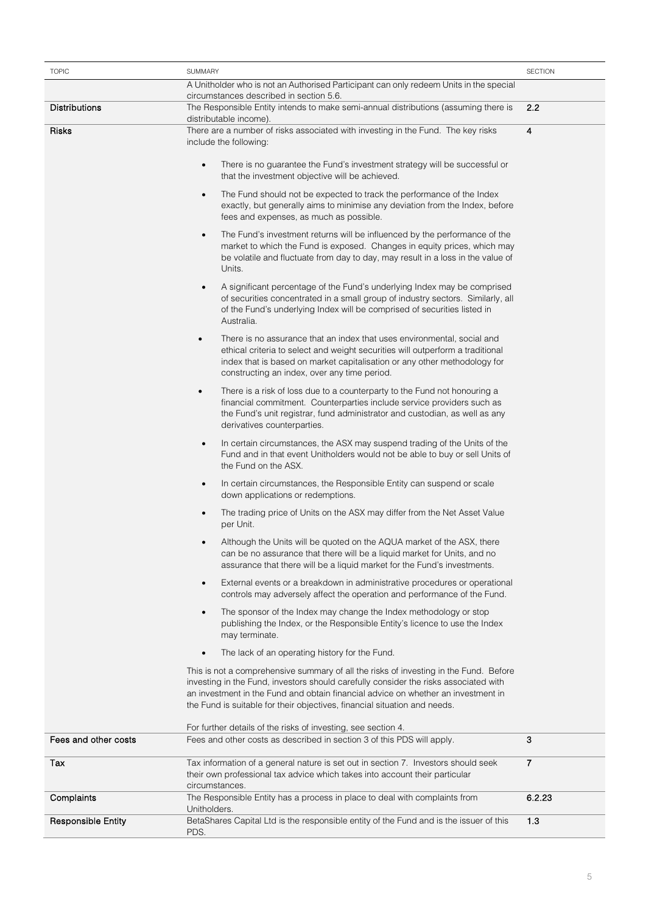| <b>TOPIC</b>              | <b>SECTION</b><br><b>SUMMARY</b>                                                                                                                                                                                                                                                                                                                |                |
|---------------------------|-------------------------------------------------------------------------------------------------------------------------------------------------------------------------------------------------------------------------------------------------------------------------------------------------------------------------------------------------|----------------|
|                           | A Unitholder who is not an Authorised Participant can only redeem Units in the special                                                                                                                                                                                                                                                          |                |
| Distributions             | circumstances described in section 5.6.<br>The Responsible Entity intends to make semi-annual distributions (assuming there is                                                                                                                                                                                                                  | 2.2            |
|                           | distributable income).                                                                                                                                                                                                                                                                                                                          |                |
| <b>Risks</b>              | There are a number of risks associated with investing in the Fund. The key risks<br>include the following:                                                                                                                                                                                                                                      | 4              |
|                           | There is no guarantee the Fund's investment strategy will be successful or<br>$\bullet$<br>that the investment objective will be achieved.                                                                                                                                                                                                      |                |
|                           | The Fund should not be expected to track the performance of the Index<br>$\bullet$<br>exactly, but generally aims to minimise any deviation from the Index, before<br>fees and expenses, as much as possible.                                                                                                                                   |                |
|                           | The Fund's investment returns will be influenced by the performance of the<br>$\bullet$<br>market to which the Fund is exposed. Changes in equity prices, which may<br>be volatile and fluctuate from day to day, may result in a loss in the value of<br>Units.                                                                                |                |
|                           | A significant percentage of the Fund's underlying Index may be comprised<br>$\bullet$<br>of securities concentrated in a small group of industry sectors. Similarly, all<br>of the Fund's underlying Index will be comprised of securities listed in<br>Australia.                                                                              |                |
|                           | There is no assurance that an index that uses environmental, social and<br>$\bullet$<br>ethical criteria to select and weight securities will outperform a traditional<br>index that is based on market capitalisation or any other methodology for<br>constructing an index, over any time period.                                             |                |
|                           | There is a risk of loss due to a counterparty to the Fund not honouring a<br>$\bullet$<br>financial commitment. Counterparties include service providers such as<br>the Fund's unit registrar, fund administrator and custodian, as well as any<br>derivatives counterparties.                                                                  |                |
|                           | In certain circumstances, the ASX may suspend trading of the Units of the<br>$\bullet$<br>Fund and in that event Unitholders would not be able to buy or sell Units of<br>the Fund on the ASX.                                                                                                                                                  |                |
|                           | In certain circumstances, the Responsible Entity can suspend or scale<br>$\bullet$<br>down applications or redemptions.                                                                                                                                                                                                                         |                |
|                           | The trading price of Units on the ASX may differ from the Net Asset Value<br>$\bullet$<br>per Unit.                                                                                                                                                                                                                                             |                |
|                           | Although the Units will be quoted on the AQUA market of the ASX, there<br>٠<br>can be no assurance that there will be a liquid market for Units, and no<br>assurance that there will be a liquid market for the Fund's investments.                                                                                                             |                |
|                           | External events or a breakdown in administrative procedures or operational<br>$\bullet$<br>controls may adversely affect the operation and performance of the Fund.                                                                                                                                                                             |                |
|                           | The sponsor of the Index may change the Index methodology or stop<br>$\bullet$<br>publishing the Index, or the Responsible Entity's licence to use the Index<br>may terminate.                                                                                                                                                                  |                |
|                           | The lack of an operating history for the Fund.                                                                                                                                                                                                                                                                                                  |                |
|                           | This is not a comprehensive summary of all the risks of investing in the Fund. Before<br>investing in the Fund, investors should carefully consider the risks associated with<br>an investment in the Fund and obtain financial advice on whether an investment in<br>the Fund is suitable for their objectives, financial situation and needs. |                |
|                           | For further details of the risks of investing, see section 4.                                                                                                                                                                                                                                                                                   |                |
| Fees and other costs      | Fees and other costs as described in section 3 of this PDS will apply.                                                                                                                                                                                                                                                                          | 3              |
| Tax                       | Tax information of a general nature is set out in section 7. Investors should seek<br>their own professional tax advice which takes into account their particular<br>circumstances.                                                                                                                                                             | $\overline{7}$ |
| Complaints                | The Responsible Entity has a process in place to deal with complaints from<br>Unitholders.                                                                                                                                                                                                                                                      | 6.2.23         |
| <b>Responsible Entity</b> | BetaShares Capital Ltd is the responsible entity of the Fund and is the issuer of this<br>PDS.                                                                                                                                                                                                                                                  | 1.3            |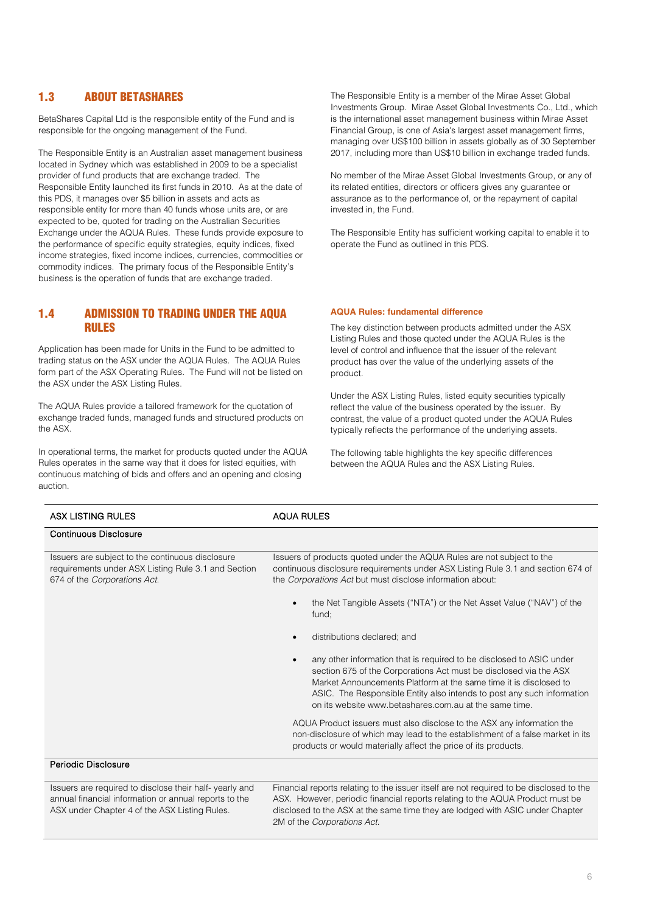# 1.3 ABOUT BETASHARES

BetaShares Capital Ltd is the responsible entity of the Fund and is responsible for the ongoing management of the Fund.

The Responsible Entity is an Australian asset management business located in Sydney which was established in 2009 to be a specialist provider of fund products that are exchange traded. The Responsible Entity launched its first funds in 2010. As at the date of this PDS, it manages over \$5 billion in assets and acts as responsible entity for more than 40 funds whose units are, or are expected to be, quoted for trading on the Australian Securities Exchange under the AQUA Rules. These funds provide exposure to the performance of specific equity strategies, equity indices, fixed income strategies, fixed income indices, currencies, commodities or commodity indices. The primary focus of the Responsible Entity's business is the operation of funds that are exchange traded.

1.4 ADMISSION TO TRADING UNDER THE AQUA RULES

Application has been made for Units in the Fund to be admitted to trading status on the ASX under the AQUA Rules. The AQUA Rules form part of the ASX Operating Rules. The Fund will not be listed on the ASX under the ASX Listing Rules.

The AQUA Rules provide a tailored framework for the quotation of exchange traded funds, managed funds and structured products on the ASX.

In operational terms, the market for products quoted under the AQUA Rules operates in the same way that it does for listed equities, with continuous matching of bids and offers and an opening and closing auction.

The Responsible Entity is a member of the Mirae Asset Global Investments Group. Mirae Asset Global Investments Co., Ltd., which is the international asset management business within Mirae Asset Financial Group, is one of Asia's largest asset management firms, managing over US\$100 billion in assets globally as of 30 September 2017, including more than US\$10 billion in exchange traded funds.

No member of the Mirae Asset Global Investments Group, or any of its related entities, directors or officers gives any guarantee or assurance as to the performance of, or the repayment of capital invested in, the Fund.

The Responsible Entity has sufficient working capital to enable it to operate the Fund as outlined in this PDS.

#### **AQUA Rules: fundamental difference**

The key distinction between products admitted under the ASX Listing Rules and those quoted under the AQUA Rules is the level of control and influence that the issuer of the relevant product has over the value of the underlying assets of the product.

Under the ASX Listing Rules, listed equity securities typically reflect the value of the business operated by the issuer. By contrast, the value of a product quoted under the AQUA Rules typically reflects the performance of the underlying assets.

The following table highlights the key specific differences between the AQUA Rules and the ASX Listing Rules.

| <b>ASX LISTING RULES</b>                                                                                                                                         | <b>AQUA RULES</b>                                                                                                                                                                                                                                                                                                                                  |  |
|------------------------------------------------------------------------------------------------------------------------------------------------------------------|----------------------------------------------------------------------------------------------------------------------------------------------------------------------------------------------------------------------------------------------------------------------------------------------------------------------------------------------------|--|
| <b>Continuous Disclosure</b>                                                                                                                                     |                                                                                                                                                                                                                                                                                                                                                    |  |
| Issuers are subject to the continuous disclosure<br>requirements under ASX Listing Rule 3.1 and Section<br>674 of the Corporations Act.                          | Issuers of products quoted under the AQUA Rules are not subject to the<br>continuous disclosure requirements under ASX Listing Rule 3.1 and section 674 of<br>the Corporations Act but must disclose information about:                                                                                                                            |  |
|                                                                                                                                                                  | the Net Tangible Assets ("NTA") or the Net Asset Value ("NAV") of the<br>fund:                                                                                                                                                                                                                                                                     |  |
|                                                                                                                                                                  | distributions declared; and                                                                                                                                                                                                                                                                                                                        |  |
|                                                                                                                                                                  | any other information that is required to be disclosed to ASIC under<br>section 675 of the Corporations Act must be disclosed via the ASX<br>Market Announcements Platform at the same time it is disclosed to<br>ASIC. The Responsible Entity also intends to post any such information<br>on its website www.betashares.com.au at the same time. |  |
|                                                                                                                                                                  | AQUA Product issuers must also disclose to the ASX any information the<br>non-disclosure of which may lead to the establishment of a false market in its<br>products or would materially affect the price of its products.                                                                                                                         |  |
| Periodic Disclosure                                                                                                                                              |                                                                                                                                                                                                                                                                                                                                                    |  |
| Issuers are required to disclose their half-yearly and<br>annual financial information or annual reports to the<br>ASX under Chapter 4 of the ASX Listing Rules. | Financial reports relating to the issuer itself are not required to be disclosed to the<br>ASX. However, periodic financial reports relating to the AQUA Product must be<br>disclosed to the ASX at the same time they are lodged with ASIC under Chapter                                                                                          |  |

2M of the *Corporations Act.*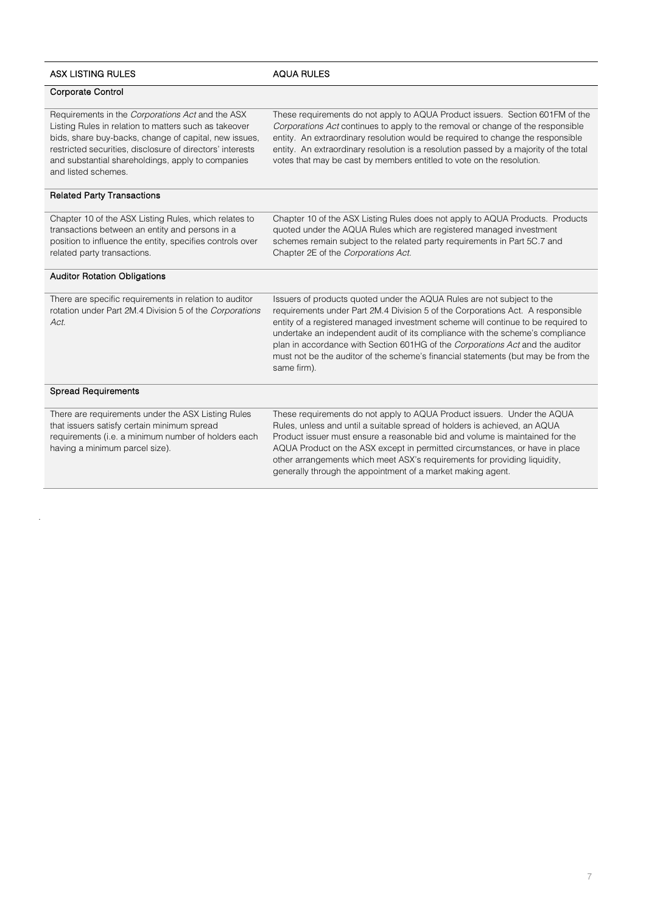| <b>ASX LISTING RULES</b>                                                                                                                                                                                                                                                                                    | <b>AQUA RULES</b>                                                                                                                                                                                                                                                                                                                                                                                                                                                                                                  |
|-------------------------------------------------------------------------------------------------------------------------------------------------------------------------------------------------------------------------------------------------------------------------------------------------------------|--------------------------------------------------------------------------------------------------------------------------------------------------------------------------------------------------------------------------------------------------------------------------------------------------------------------------------------------------------------------------------------------------------------------------------------------------------------------------------------------------------------------|
| Corporate Control                                                                                                                                                                                                                                                                                           |                                                                                                                                                                                                                                                                                                                                                                                                                                                                                                                    |
| Requirements in the Corporations Act and the ASX<br>Listing Rules in relation to matters such as takeover<br>bids, share buy-backs, change of capital, new issues,<br>restricted securities, disclosure of directors' interests<br>and substantial shareholdings, apply to companies<br>and listed schemes. | These requirements do not apply to AQUA Product issuers. Section 601FM of the<br>Corporations Act continues to apply to the removal or change of the responsible<br>entity. An extraordinary resolution would be required to change the responsible<br>entity. An extraordinary resolution is a resolution passed by a majority of the total<br>votes that may be cast by members entitled to vote on the resolution.                                                                                              |
| <b>Related Party Transactions</b>                                                                                                                                                                                                                                                                           |                                                                                                                                                                                                                                                                                                                                                                                                                                                                                                                    |
| Chapter 10 of the ASX Listing Rules, which relates to<br>transactions between an entity and persons in a<br>position to influence the entity, specifies controls over<br>related party transactions.                                                                                                        | Chapter 10 of the ASX Listing Rules does not apply to AQUA Products. Products<br>quoted under the AQUA Rules which are registered managed investment<br>schemes remain subject to the related party requirements in Part 5C.7 and<br>Chapter 2E of the Corporations Act.                                                                                                                                                                                                                                           |
| <b>Auditor Rotation Obligations</b>                                                                                                                                                                                                                                                                         |                                                                                                                                                                                                                                                                                                                                                                                                                                                                                                                    |
| There are specific requirements in relation to auditor<br>rotation under Part 2M.4 Division 5 of the Corporations<br>Act.                                                                                                                                                                                   | Issuers of products quoted under the AQUA Rules are not subject to the<br>requirements under Part 2M.4 Division 5 of the Corporations Act. A responsible<br>entity of a registered managed investment scheme will continue to be required to<br>undertake an independent audit of its compliance with the scheme's compliance<br>plan in accordance with Section 601HG of the Corporations Act and the auditor<br>must not be the auditor of the scheme's financial statements (but may be from the<br>same firm). |
| <b>Spread Requirements</b>                                                                                                                                                                                                                                                                                  |                                                                                                                                                                                                                                                                                                                                                                                                                                                                                                                    |
| There are requirements under the ASX Listing Rules<br>that issuers satisfy certain minimum spread<br>requirements (i.e. a minimum number of holders each<br>having a minimum parcel size).                                                                                                                  | These requirements do not apply to AQUA Product issuers. Under the AQUA<br>Rules, unless and until a suitable spread of holders is achieved, an AQUA<br>Product issuer must ensure a reasonable bid and volume is maintained for the<br>AQUA Product on the ASX except in permitted circumstances, or have in place<br>other arrangements which meet ASX's requirements for providing liquidity,<br>generally through the appointment of a market making agent.                                                    |

.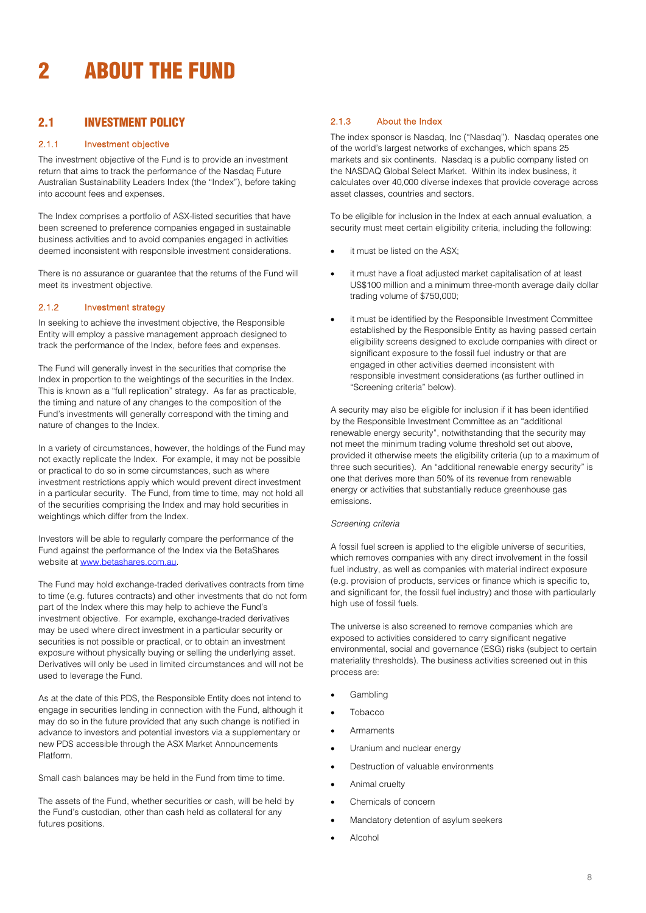# <span id="page-7-0"></span>2 ABOUT THE FUND

# <span id="page-7-1"></span>2.1 INVESTMENT POLICY

## 2.1.1 Investment objective

The investment objective of the Fund is to provide an investment return that aims to track the performance of the Nasdaq Future Australian Sustainability Leaders Index (the "Index"), before taking into account fees and expenses.

The Index comprises a portfolio of ASX-listed securities that have been screened to preference companies engaged in sustainable business activities and to avoid companies engaged in activities deemed inconsistent with responsible investment considerations.

There is no assurance or guarantee that the returns of the Fund will meet its investment objective.

## 2.1.2 Investment strategy

In seeking to achieve the investment objective, the Responsible Entity will employ a passive management approach designed to track the performance of the Index, before fees and expenses.

The Fund will generally invest in the securities that comprise the Index in proportion to the weightings of the securities in the Index. This is known as a "full replication" strategy. As far as practicable, the timing and nature of any changes to the composition of the Fund's investments will generally correspond with the timing and nature of changes to the Index.

In a variety of circumstances, however, the holdings of the Fund may not exactly replicate the Index. For example, it may not be possible or practical to do so in some circumstances, such as where investment restrictions apply which would prevent direct investment in a particular security. The Fund, from time to time, may not hold all of the securities comprising the Index and may hold securities in weightings which differ from the Index.

Investors will be able to regularly compare the performance of the Fund against the performance of the Index via the BetaShares website at [www.betashares.com.au.](http://www.betashares.com.au/)

The Fund may hold exchange-traded derivatives contracts from time to time (e.g. futures contracts) and other investments that do not form part of the Index where this may help to achieve the Fund's investment objective. For example, exchange-traded derivatives may be used where direct investment in a particular security or securities is not possible or practical, or to obtain an investment exposure without physically buying or selling the underlying asset. Derivatives will only be used in limited circumstances and will not be used to leverage the Fund.

As at the date of this PDS, the Responsible Entity does not intend to engage in securities lending in connection with the Fund, although it may do so in the future provided that any such change is notified in advance to investors and potential investors via a supplementary or new PDS accessible through the ASX Market Announcements Platform.

Small cash balances may be held in the Fund from time to time.

The assets of the Fund, whether securities or cash, will be held by the Fund's custodian, other than cash held as collateral for any futures positions.

## 2.1.3 About the Index

The index sponsor is Nasdaq, Inc ("Nasdaq"). Nasdaq operates one of the world's largest networks of exchanges, which spans 25 markets and six continents. Nasdaq is a public company listed on the NASDAQ Global Select Market. Within its index business, it calculates over 40,000 diverse indexes that provide coverage across asset classes, countries and sectors.

To be eligible for inclusion in the Index at each annual evaluation, a security must meet certain eligibility criteria, including the following:

- it must be listed on the ASX:
- it must have a float adjusted market capitalisation of at least US\$100 million and a minimum three-month average daily dollar trading volume of \$750,000;
- it must be identified by the Responsible Investment Committee established by the Responsible Entity as having passed certain eligibility screens designed to exclude companies with direct or significant exposure to the fossil fuel industry or that are engaged in other activities deemed inconsistent with responsible investment considerations (as further outlined in "Screening criteria" below).

A security may also be eligible for inclusion if it has been identified by the Responsible Investment Committee as an "additional renewable energy security", notwithstanding that the security may not meet the minimum trading volume threshold set out above, provided it otherwise meets the eligibility criteria (up to a maximum of three such securities). An "additional renewable energy security" is one that derives more than 50% of its revenue from renewable energy or activities that substantially reduce greenhouse gas emissions.

#### *Screening criteria*

A fossil fuel screen is applied to the eligible universe of securities, which removes companies with any direct involvement in the fossil fuel industry, as well as companies with material indirect exposure (e.g. provision of products, services or finance which is specific to, and significant for, the fossil fuel industry) and those with particularly high use of fossil fuels.

The universe is also screened to remove companies which are exposed to activities considered to carry significant negative environmental, social and governance (ESG) risks (subject to certain materiality thresholds). The business activities screened out in this process are:

- **Gambling**
- **Tobacco**
- **Armaments**
- Uranium and nuclear energy
- Destruction of valuable environments
- Animal cruelty
- Chemicals of concern
- Mandatory detention of asylum seekers
- Alcohol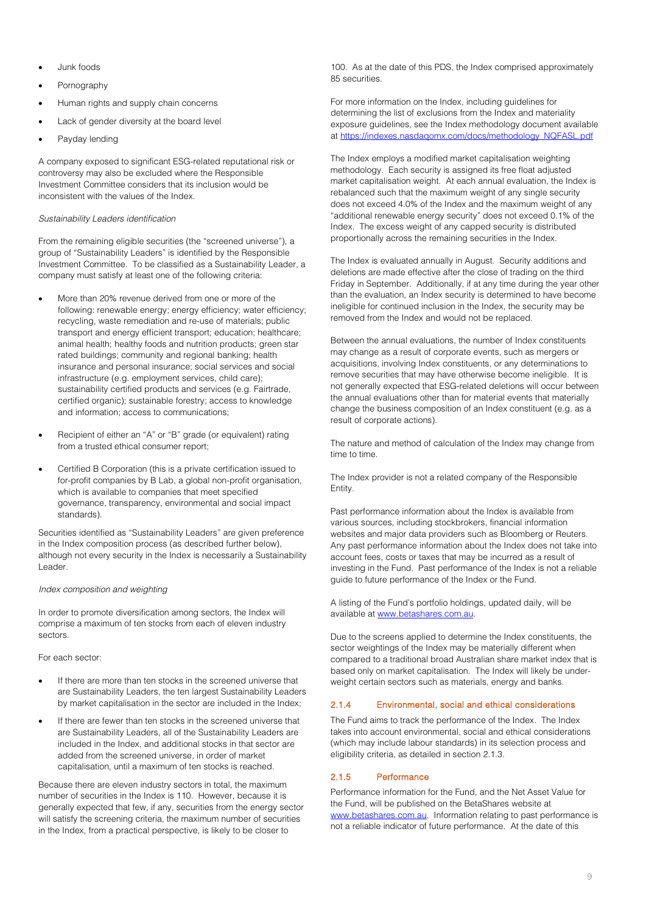- Junk foods
- Pornography
- Human rights and supply chain concerns
- Lack of gender diversity at the board level
- Payday lending

A company exposed to significant ESG-related reputational risk or controversy may also be excluded where the Responsible Investment Committee considers that its inclusion would be inconsistent with the values of the Index.

## *Sustainability Leaders identification*

From the remaining eligible securities (the "screened universe"), a group of "Sustainability Leaders" is identified by the Responsible Investment Committee. To be classified as a Sustainability Leader, a company must satisfy at least one of the following criteria:

- More than 20% revenue derived from one or more of the following: renewable energy; energy efficiency; water efficiency; recycling, waste remediation and re-use of materials; public transport and energy efficient transport; education; healthcare; animal health; healthy foods and nutrition products; green star rated buildings; community and regional banking; health insurance and personal insurance; social services and social infrastructure (e.g. employment services, child care); sustainability certified products and services (e.g. Fairtrade, certified organic); sustainable forestry; access to knowledge and information; access to communications;
- Recipient of either an "A" or "B" grade (or equivalent) rating from a trusted ethical consumer report;
- Certified B Corporation (this is a private certification issued to for-profit companies by B Lab, a global non-profit organisation, which is available to companies that meet specified governance, transparency, environmental and social impact standards).

Securities identified as "Sustainability Leaders" are given preference in the Index composition process (as described further below), although not every security in the Index is necessarily a Sustainability Leader.

#### *Index composition and weighting*

In order to promote diversification among sectors, the Index will comprise a maximum of ten stocks from each of eleven industry sectors.

For each sector:

- If there are more than ten stocks in the screened universe that are Sustainability Leaders, the ten largest Sustainability Leaders by market capitalisation in the sector are included in the Index;
- If there are fewer than ten stocks in the screened universe that are Sustainability Leaders, all of the Sustainability Leaders are included in the Index, and additional stocks in that sector are added from the screened universe, in order of market capitalisation, until a maximum of ten stocks is reached.

Because there are eleven industry sectors in total, the maximum number of securities in the Index is 110. However, because it is generally expected that few, if any, securities from the energy sector will satisfy the screening criteria, the maximum number of securities in the Index, from a practical perspective, is likely to be closer to

100. As at the date of this PDS, the Index comprised approximately 85 securities.

For more information on the Index, including guidelines for determining the list of exclusions from the Index and materiality exposure guidelines, see the Index methodology document available at [https://indexes.nasdaqomx.com/docs/methodology\\_NQFASL.pdf](https://indexes.nasdaqomx.com/docs/methodology_NQFASL.pdf)

The Index employs a modified market capitalisation weighting methodology. Each security is assigned its free float adjusted market capitalisation weight. At each annual evaluation, the Index is rebalanced such that the maximum weight of any single security does not exceed 4.0% of the Index and the maximum weight of any "additional renewable energy security" does not exceed 0.1% of the Index. The excess weight of any capped security is distributed proportionally across the remaining securities in the Index.

The Index is evaluated annually in August. Security additions and deletions are made effective after the close of trading on the third Friday in September. Additionally, if at any time during the year other than the evaluation, an Index security is determined to have become ineligible for continued inclusion in the Index, the security may be removed from the Index and would not be replaced.

Between the annual evaluations, the number of Index constituents may change as a result of corporate events, such as mergers or acquisitions, involving Index constituents, or any determinations to remove securities that may have otherwise become ineligible. It is not generally expected that ESG-related deletions will occur between the annual evaluations other than for material events that materially change the business composition of an Index constituent (e.g. as a result of corporate actions).

The nature and method of calculation of the Index may change from time to time.

The Index provider is not a related company of the Responsible Entity.

Past performance information about the Index is available from various sources, including stockbrokers, financial information websites and major data providers such as Bloomberg or Reuters. Any past performance information about the Index does not take into account fees, costs or taxes that may be incurred as a result of investing in the Fund. Past performance of the Index is not a reliable guide to future performance of the Index or the Fund.

A listing of the Fund's portfolio holdings, updated daily, will be available at [www.betashares.com.au.](http://www.betashares.com.au/)

Due to the screens applied to determine the Index constituents, the sector weightings of the Index may be materially different when compared to a traditional broad Australian share market index that is based only on market capitalisation. The Index will likely be underweight certain sectors such as materials, energy and banks.

# 2.1.4 Environmental, social and ethical considerations

The Fund aims to track the performance of the Index. The Index takes into account environmental, social and ethical considerations (which may include labour standards) in its selection process and eligibility criteria, as detailed in section 2.1.3.

## 2.1.5 Performance

Performance information for the Fund, and the Net Asset Value for the Fund, will be published on the BetaShares website at [www.betashares.com.au.](http://www.betashares.com.au/) Information relating to past performance is not a reliable indicator of future performance. At the date of this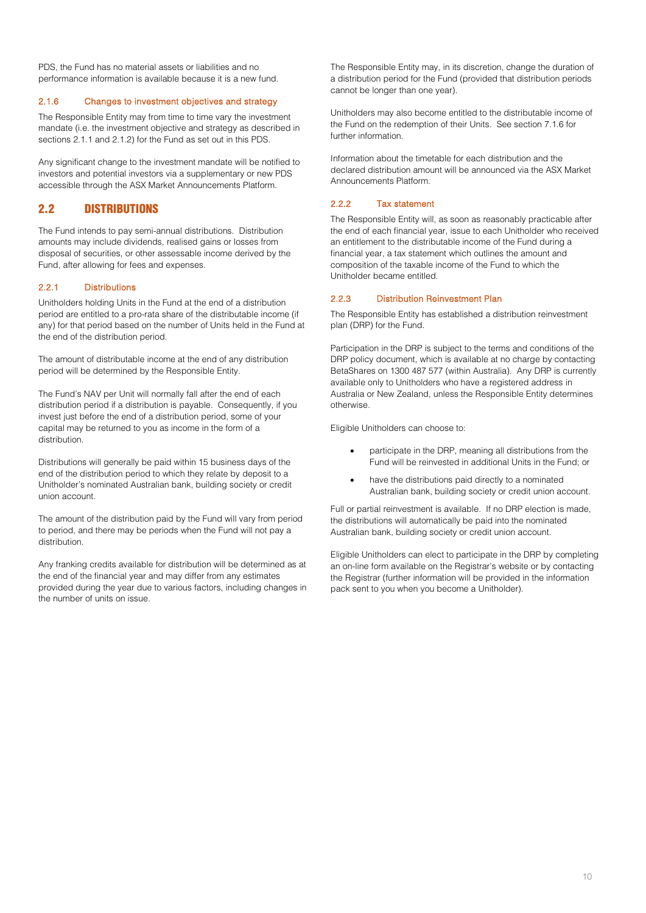PDS, the Fund has no material assets or liabilities and no performance information is available because it is a new fund.

## 2.1.6 Changes to investment objectives and strategy

The Responsible Entity may from time to time vary the investment mandate (i.e. the investment objective and strategy as described in section[s 2.1.1](#page-7-1) and 2.1.2) for the Fund as set out in this PDS.

Any significant change to the investment mandate will be notified to investors and potential investors via a supplementary or new PDS accessible through the ASX Market Announcements Platform.

# 2.2 DISTRIBUTIONS

The Fund intends to pay semi-annual distributions. Distribution amounts may include dividends, realised gains or losses from disposal of securities, or other assessable income derived by the Fund, after allowing for fees and expenses.

#### 2.2.1 Distributions

Unitholders holding Units in the Fund at the end of a distribution period are entitled to a pro-rata share of the distributable income (if any) for that period based on the number of Units held in the Fund at the end of the distribution period.

The amount of distributable income at the end of any distribution period will be determined by the Responsible Entity.

The Fund's NAV per Unit will normally fall after the end of each distribution period if a distribution is payable. Consequently, if you invest just before the end of a distribution period, some of your capital may be returned to you as income in the form of a distribution.

Distributions will generally be paid within 15 business days of the end of the distribution period to which they relate by deposit to a Unitholder's nominated Australian bank, building society or credit union account.

The amount of the distribution paid by the Fund will vary from period to period, and there may be periods when the Fund will not pay a distribution.

Any franking credits available for distribution will be determined as at the end of the financial year and may differ from any estimates provided during the year due to various factors, including changes in the number of units on issue.

The Responsible Entity may, in its discretion, change the duration of a distribution period for the Fund (provided that distribution periods cannot be longer than one year).

Unitholders may also become entitled to the distributable income of the Fund on the redemption of their Units. See section 7.1.6 for further information.

Information about the timetable for each distribution and the declared distribution amount will be announced via the ASX Market Announcements Platform.

### 2.2.2 Tax statement

The Responsible Entity will, as soon as reasonably practicable after the end of each financial year, issue to each Unitholder who received an entitlement to the distributable income of the Fund during a financial year, a tax statement which outlines the amount and composition of the taxable income of the Fund to which the Unitholder became entitled.

#### 2.2.3 Distribution Reinvestment Plan

The Responsible Entity has established a distribution reinvestment plan (DRP) for the Fund.

Participation in the DRP is subject to the terms and conditions of the DRP policy document, which is available at no charge by contacting BetaShares on 1300 487 577 (within Australia). Any DRP is currently available only to Unitholders who have a registered address in Australia or New Zealand, unless the Responsible Entity determines otherwise.

Eligible Unitholders can choose to:

- participate in the DRP, meaning all distributions from the Fund will be reinvested in additional Units in the Fund; or
- have the distributions paid directly to a nominated Australian bank, building society or credit union account.

Full or partial reinvestment is available. If no DRP election is made, the distributions will automatically be paid into the nominated Australian bank, building society or credit union account.

Eligible Unitholders can elect to participate in the DRP by completing an on-line form available on the Registrar's website or by contacting the Registrar (further information will be provided in the information pack sent to you when you become a Unitholder).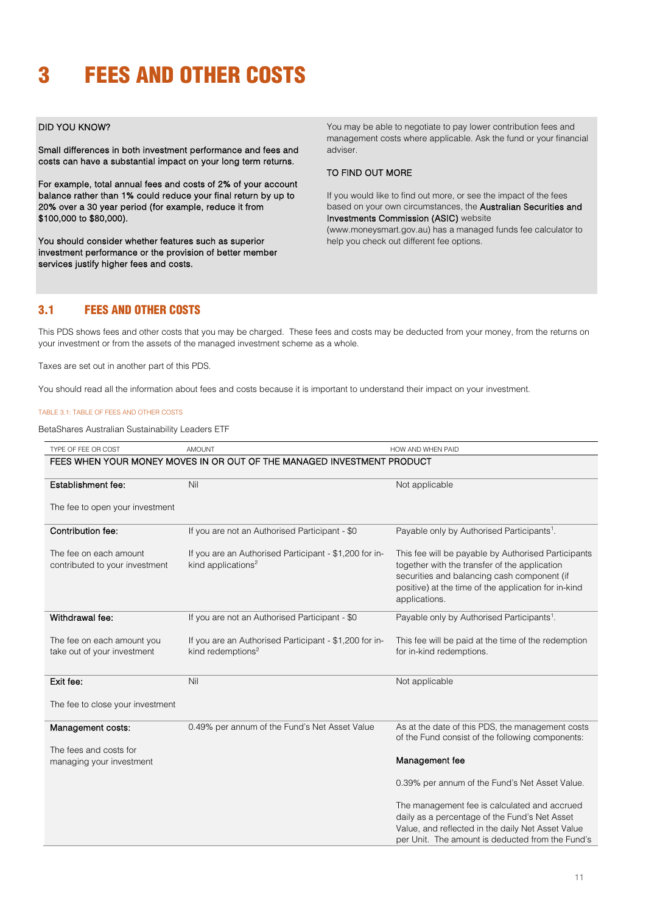# <span id="page-10-0"></span>3 FEES AND OTHER COSTS

# DID YOU KNOW?

Small differences in both investment performance and fees and costs can have a substantial impact on your long term returns.

For example, total annual fees and costs of 2% of your account balance rather than 1% could reduce your final return by up to 20% over a 30 year period (for example, reduce it from \$100,000 to \$80,000).

You should consider whether features such as superior investment performance or the provision of better member services justify higher fees and costs.

You may be able to negotiate to pay lower contribution fees and management costs where applicable. Ask the fund or your financial adviser.

## TO FIND OUT MORE

If you would like to find out more, or see the impact of the fees based on your own circumstances, the Australian Securities and Investments Commission (ASIC) website (www.moneysmart.gov.au) has a managed funds fee calculator to help you check out different fee options.

# 3.1 FEES AND OTHER COSTS

This PDS shows fees and other costs that you may be charged. These fees and costs may be deducted from your money, from the returns on your investment or from the assets of the managed investment scheme as a whole.

Taxes are set out in another part of this PDS.

You should read all the information about fees and costs because it is important to understand their impact on your investment.

### TABLE 3.1: TABLE OF FEES AND OTHER COSTS

BetaShares Australian Sustainability Leaders ETF

| TYPE OF FEE OR COST                                                    | <b>AMOUNT</b>                                                                            | HOW AND WHEN PAID                                                                                                                                                                                                            |  |
|------------------------------------------------------------------------|------------------------------------------------------------------------------------------|------------------------------------------------------------------------------------------------------------------------------------------------------------------------------------------------------------------------------|--|
| FEES WHEN YOUR MONEY MOVES IN OR OUT OF THE MANAGED INVESTMENT PRODUCT |                                                                                          |                                                                                                                                                                                                                              |  |
| Establishment fee:                                                     | Nil                                                                                      | Not applicable                                                                                                                                                                                                               |  |
| The fee to open your investment                                        |                                                                                          |                                                                                                                                                                                                                              |  |
| Contribution fee:                                                      | If you are not an Authorised Participant - \$0                                           | Payable only by Authorised Participants <sup>1</sup> .                                                                                                                                                                       |  |
| The fee on each amount<br>contributed to your investment               | If you are an Authorised Participant - \$1,200 for in-<br>kind applications <sup>2</sup> | This fee will be payable by Authorised Participants<br>together with the transfer of the application<br>securities and balancing cash component (if<br>positive) at the time of the application for in-kind<br>applications. |  |
| Withdrawal fee:                                                        | If you are not an Authorised Participant - \$0                                           | Payable only by Authorised Participants <sup>1</sup> .                                                                                                                                                                       |  |
| The fee on each amount you<br>take out of your investment              | If you are an Authorised Participant - \$1,200 for in-<br>kind redemptions <sup>2</sup>  | This fee will be paid at the time of the redemption<br>for in-kind redemptions.                                                                                                                                              |  |
| Exit fee:                                                              | Nil                                                                                      | Not applicable                                                                                                                                                                                                               |  |
| The fee to close your investment                                       |                                                                                          |                                                                                                                                                                                                                              |  |
| Management costs:                                                      | 0.49% per annum of the Fund's Net Asset Value                                            | As at the date of this PDS, the management costs<br>of the Fund consist of the following components:                                                                                                                         |  |
| The fees and costs for<br>managing your investment                     |                                                                                          | Management fee                                                                                                                                                                                                               |  |
|                                                                        |                                                                                          | 0.39% per annum of the Fund's Net Asset Value.                                                                                                                                                                               |  |
|                                                                        |                                                                                          | The management fee is calculated and accrued<br>daily as a percentage of the Fund's Net Asset<br>Value, and reflected in the daily Net Asset Value<br>per Unit. The amount is deducted from the Fund's                       |  |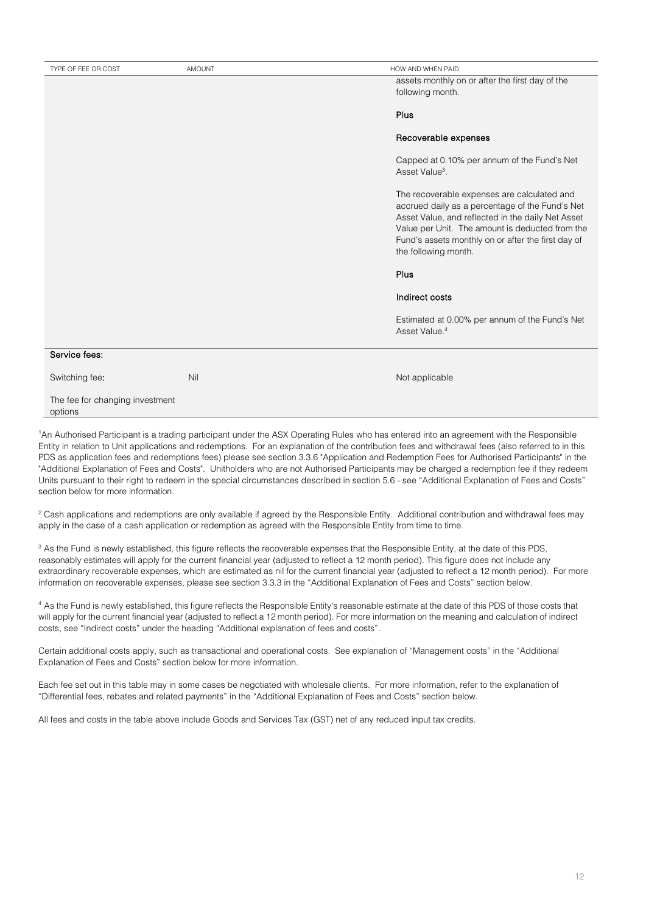| TYPE OF FEE OR COST                        | AMOUNT | HOW AND WHEN PAID                                                                                                                                                                                                                                                                    |
|--------------------------------------------|--------|--------------------------------------------------------------------------------------------------------------------------------------------------------------------------------------------------------------------------------------------------------------------------------------|
|                                            |        | assets monthly on or after the first day of the                                                                                                                                                                                                                                      |
|                                            |        | following month.                                                                                                                                                                                                                                                                     |
|                                            |        |                                                                                                                                                                                                                                                                                      |
|                                            |        | Plus                                                                                                                                                                                                                                                                                 |
|                                            |        | Recoverable expenses                                                                                                                                                                                                                                                                 |
|                                            |        | Capped at 0.10% per annum of the Fund's Net<br>Asset Value <sup>3</sup> .                                                                                                                                                                                                            |
|                                            |        | The recoverable expenses are calculated and<br>accrued daily as a percentage of the Fund's Net<br>Asset Value, and reflected in the daily Net Asset<br>Value per Unit. The amount is deducted from the<br>Fund's assets monthly on or after the first day of<br>the following month. |
|                                            |        | Plus                                                                                                                                                                                                                                                                                 |
|                                            |        | Indirect costs                                                                                                                                                                                                                                                                       |
|                                            |        | Estimated at 0.00% per annum of the Fund's Net<br>Asset Value. <sup>4</sup>                                                                                                                                                                                                          |
| Service fees:                              |        |                                                                                                                                                                                                                                                                                      |
| Switching fee:                             | Nil    | Not applicable                                                                                                                                                                                                                                                                       |
| The fee for changing investment<br>options |        |                                                                                                                                                                                                                                                                                      |

1 An Authorised Participant is a trading participant under the ASX Operating Rules who has entered into an agreement with the Responsible Entity in relation to Unit applications and redemptions. For an explanation of the contribution fees and withdrawal fees (also referred to in this PDS as application fees and redemptions fees) please see section 3.3.6 "Application and Redemption Fees for Authorised Participants" in the "Additional Explanation of Fees and Costs". Unitholders who are not Authorised Participants may be charged a redemption fee if they redeem Units pursuant to their right to redeem in the special circumstances described in section 5.6 - see "Additional Explanation of Fees and Costs" section below for more information.

<sup>2</sup> Cash applications and redemptions are only available if agreed by the Responsible Entity. Additional contribution and withdrawal fees may apply in the case of a cash application or redemption as agreed with the Responsible Entity from time to time.

<sup>3</sup> As the Fund is newly established, this figure reflects the recoverable expenses that the Responsible Entity, at the date of this PDS, reasonably estimates will apply for the current financial year (adjusted to reflect a 12 month period). This figure does not include any extraordinary recoverable expenses, which are estimated as nil for the current financial year (adjusted to reflect a 12 month period). For more information on recoverable expenses, please see section 3.3.3 in the "Additional Explanation of Fees and Costs" section below.

<sup>4</sup> As the Fund is newly established, this figure reflects the Responsible Entity's reasonable estimate at the date of this PDS of those costs that will apply for the current financial year (adjusted to reflect a 12 month period). For more information on the meaning and calculation of indirect costs, see "Indirect costs" under the heading "Additional explanation of fees and costs".

Certain additional costs apply, such as transactional and operational costs. See explanation of "Management costs" in the "Additional Explanation of Fees and Costs" section below for more information.

Each fee set out in this table may in some cases be negotiated with wholesale clients. For more information, refer to the explanation of "Differential fees, rebates and related payments" in the "Additional Explanation of Fees and Costs" section below.

All fees and costs in the table above include Goods and Services Tax (GST) net of any reduced input tax credits.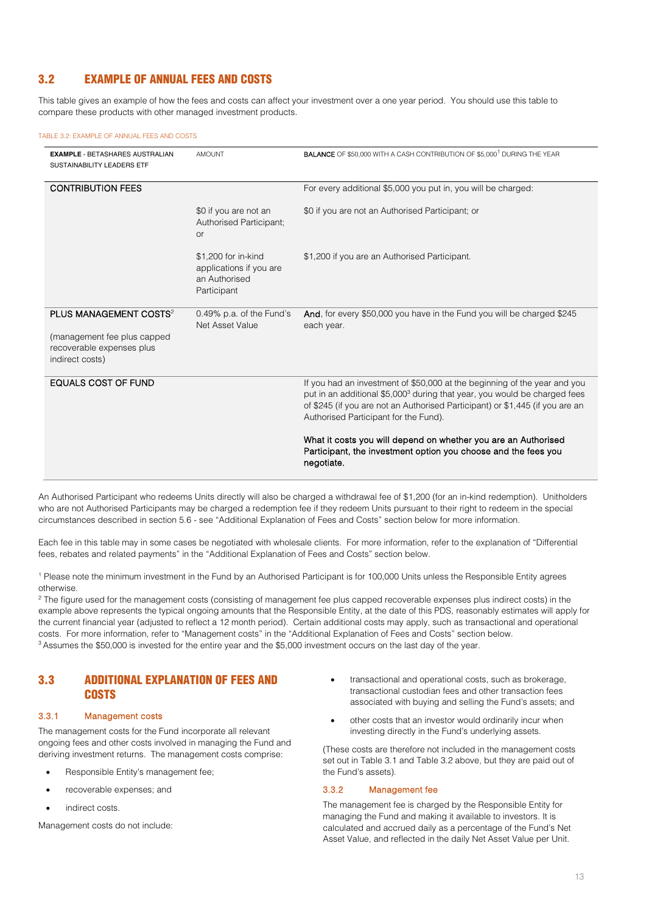# 3.2 EXAMPLE OF ANNUAL FEES AND COSTS

This table gives an example of how the fees and costs can affect your investment over a one year period. You should use this table to compare these products with other managed investment products.

#### TABLE 3.2: EXAMPLE OF ANNUAL FEES AND COSTS

| <b>EXAMPLE - BETASHARES AUSTRALIAN</b><br>SUSTAINABILITY LEADERS ETF                                              | <b>AMOUNT</b>                                                                  | <b>BALANCE</b> OF \$50,000 WITH A CASH CONTRIBUTION OF \$5,000 <sup>1</sup> DURING THE YEAR                                                                                                                                                                                                  |
|-------------------------------------------------------------------------------------------------------------------|--------------------------------------------------------------------------------|----------------------------------------------------------------------------------------------------------------------------------------------------------------------------------------------------------------------------------------------------------------------------------------------|
| <b>CONTRIBUTION FEES</b>                                                                                          |                                                                                | For every additional \$5,000 you put in, you will be charged:                                                                                                                                                                                                                                |
|                                                                                                                   | \$0 if you are not an<br>Authorised Participant:<br><b>or</b>                  | \$0 if you are not an Authorised Participant; or                                                                                                                                                                                                                                             |
|                                                                                                                   | \$1,200 for in-kind<br>applications if you are<br>an Authorised<br>Participant | \$1,200 if you are an Authorised Participant.                                                                                                                                                                                                                                                |
| PLUS MANAGEMENT COSTS <sup>2</sup><br>(management fee plus capped<br>recoverable expenses plus<br>indirect costs) | 0.49% p.a. of the Fund's<br>Net Asset Value                                    | And, for every \$50,000 you have in the Fund you will be charged \$245<br>each year.                                                                                                                                                                                                         |
| <b>EQUALS COST OF FUND</b>                                                                                        |                                                                                | If you had an investment of \$50,000 at the beginning of the year and you<br>put in an additional \$5,000 <sup>3</sup> during that year, you would be charged fees<br>of \$245 (if you are not an Authorised Participant) or \$1,445 (if you are an<br>Authorised Participant for the Fund). |
|                                                                                                                   |                                                                                | What it costs you will depend on whether you are an Authorised<br>Participant, the investment option you choose and the fees you<br>negotiate.                                                                                                                                               |

An Authorised Participant who redeems Units directly will also be charged a withdrawal fee of \$1,200 (for an in-kind redemption). Unitholders who are not Authorised Participants may be charged a redemption fee if they redeem Units pursuant to their right to redeem in the special circumstances described in section 5.6 - see "Additional Explanation of Fees and Costs" section below for more information.

Each fee in this table may in some cases be negotiated with wholesale clients. For more information, refer to the explanation of "Differential fees, rebates and related payments" in the "Additional Explanation of Fees and Costs" section below.

<sup>1</sup> Please note the minimum investment in the Fund by an Authorised Participant is for 100,000 Units unless the Responsible Entity agrees of herwise

<sup>2</sup> The figure used for the management costs (consisting of management fee plus capped recoverable expenses plus indirect costs) in the example above represents the typical ongoing amounts that the Responsible Entity, at the date of this PDS, reasonably estimates will apply for the current financial year (adjusted to reflect a 12 month period). Certain additional costs may apply, such as transactional and operational costs. For more information, refer to "Management costs" in the "Additional Explanation of Fees and Costs" section below. 3 Assumes the \$50,000 is invested for the entire year and the \$5,000 investment occurs on the last day of the year.

# 3.3 ADDITIONAL EXPLANATION OF FEES AND **COSTS**

#### 3.3.1 Management costs

The management costs for the Fund incorporate all relevant ongoing fees and other costs involved in managing the Fund and deriving investment returns. The management costs comprise:

- Responsible Entity's management fee;
- recoverable expenses; and
- indirect costs.

Management costs do not include:

- transactional and operational costs, such as brokerage, transactional custodian fees and other transaction fees associated with buying and selling the Fund's assets; and
- other costs that an investor would ordinarily incur when investing directly in the Fund's underlying assets.

(These costs are therefore not included in the management costs set out in Table 3.1 and Table 3.2 above, but they are paid out of the Fund's assets).

#### 3.3.2 Management fee

The management fee is charged by the Responsible Entity for managing the Fund and making it available to investors. It is calculated and accrued daily as a percentage of the Fund's Net Asset Value, and reflected in the daily Net Asset Value per Unit.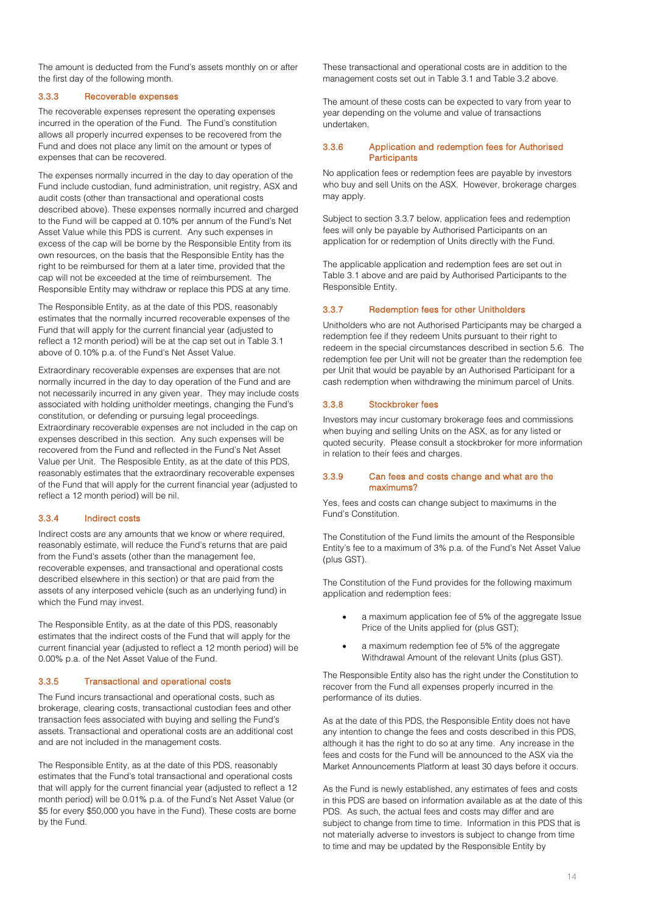The amount is deducted from the Fund's assets monthly on or after the first day of the following month.

## 3.3.3 Recoverable expenses

The recoverable expenses represent the operating expenses incurred in the operation of the Fund. The Fund's constitution allows all properly incurred expenses to be recovered from the Fund and does not place any limit on the amount or types of expenses that can be recovered.

The expenses normally incurred in the day to day operation of the Fund include custodian, fund administration, unit registry, ASX and audit costs (other than transactional and operational costs described above). These expenses normally incurred and charged to the Fund will be capped at 0.10% per annum of the Fund's Net Asset Value while this PDS is current. Any such expenses in excess of the cap will be borne by the Responsible Entity from its own resources, on the basis that the Responsible Entity has the right to be reimbursed for them at a later time, provided that the cap will not be exceeded at the time of reimbursement. The Responsible Entity may withdraw or replace this PDS at any time.

The Responsible Entity, as at the date of this PDS, reasonably estimates that the normally incurred recoverable expenses of the Fund that will apply for the current financial year (adjusted to reflect a 12 month period) will be at the cap set out in Table 3.1 above of 0.10% p.a. of the Fund's Net Asset Value.

Extraordinary recoverable expenses are expenses that are not normally incurred in the day to day operation of the Fund and are not necessarily incurred in any given year. They may include costs associated with holding unitholder meetings, changing the Fund's constitution, or defending or pursuing legal proceedings. Extraordinary recoverable expenses are not included in the cap on expenses described in this section. Any such expenses will be recovered from the Fund and reflected in the Fund's Net Asset Value per Unit. The Resposible Entity, as at the date of this PDS, reasonably estimates that the extraordinary recoverable expenses of the Fund that will apply for the current financial year (adjusted to reflect a 12 month period) will be nil.

## 3.3.4 Indirect costs

Indirect costs are any amounts that we know or where required, reasonably estimate, will reduce the Fund's returns that are paid from the Fund's assets (other than the management fee, recoverable expenses, and transactional and operational costs described elsewhere in this section) or that are paid from the assets of any interposed vehicle (such as an underlying fund) in which the Fund may invest.

The Responsible Entity, as at the date of this PDS, reasonably estimates that the indirect costs of the Fund that will apply for the current financial year (adjusted to reflect a 12 month period) will be 0.00% p.a. of the Net Asset Value of the Fund.

## 3.3.5 Transactional and operational costs

The Fund incurs transactional and operational costs, such as brokerage, clearing costs, transactional custodian fees and other transaction fees associated with buying and selling the Fund's assets. Transactional and operational costs are an additional cost and are not included in the management costs.

The Responsible Entity, as at the date of this PDS, reasonably estimates that the Fund's total transactional and operational costs that will apply for the current financial year (adjusted to reflect a 12 month period) will be 0.01% p.a. of the Fund's Net Asset Value (or \$5 for every \$50,000 you have in the Fund). These costs are borne by the Fund.

These transactional and operational costs are in addition to the management costs set out in Table 3.1 and Table 3.2 above.

The amount of these costs can be expected to vary from year to year depending on the volume and value of transactions undertaken.

#### 3.3.6 Application and redemption fees for Authorised **Participants**

No application fees or redemption fees are payable by investors who buy and sell Units on the ASX. However, brokerage charges may apply.

Subject to section 3.3.7 below, application fees and redemption fees will only be payable by Authorised Participants on an application for or redemption of Units directly with the Fund.

The applicable application and redemption fees are set out in Table 3.1 above and are paid by Authorised Participants to the Responsible Entity.

#### 3.3.7 Redemption fees for other Unitholders

Unitholders who are not Authorised Participants may be charged a redemption fee if they redeem Units pursuant to their right to redeem in the special circumstances described in section 5.6. The redemption fee per Unit will not be greater than the redemption fee per Unit that would be payable by an Authorised Participant for a cash redemption when withdrawing the minimum parcel of Units.

#### 3.3.8 Stockbroker fees

Investors may incur customary brokerage fees and commissions when buying and selling Units on the ASX, as for any listed or quoted security. Please consult a stockbroker for more information in relation to their fees and charges.

#### 3.3.9 Can fees and costs change and what are the maximums?

Yes, fees and costs can change subject to maximums in the Fund's Constitution.

The Constitution of the Fund limits the amount of the Responsible Entity's fee to a maximum of 3% p.a. of the Fund's Net Asset Value (plus GST).

The Constitution of the Fund provides for the following maximum application and redemption fees:

- a maximum application fee of 5% of the aggregate Issue Price of the Units applied for (plus GST);
- a maximum redemption fee of 5% of the aggregate Withdrawal Amount of the relevant Units (plus GST).

The Responsible Entity also has the right under the Constitution to recover from the Fund all expenses properly incurred in the performance of its duties.

As at the date of this PDS, the Responsible Entity does not have any intention to change the fees and costs described in this PDS, although it has the right to do so at any time. Any increase in the fees and costs for the Fund will be announced to the ASX via the Market Announcements Platform at least 30 days before it occurs.

As the Fund is newly established, any estimates of fees and costs in this PDS are based on information available as at the date of this PDS. As such, the actual fees and costs may differ and are subject to change from time to time. Information in this PDS that is not materially adverse to investors is subject to change from time to time and may be updated by the Responsible Entity by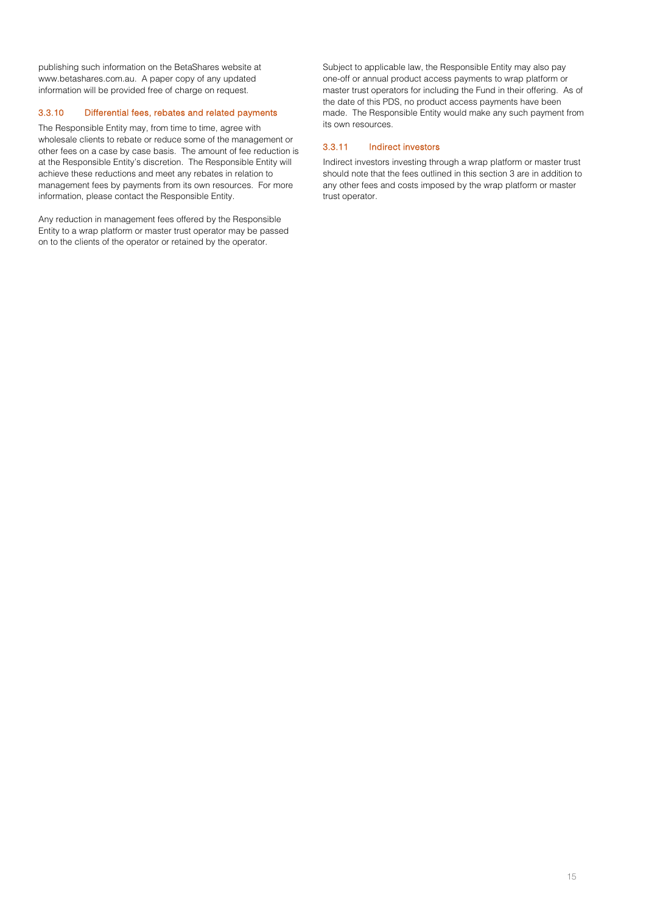publishing such information on the BetaShares website at www.betashares.com.au. A paper copy of any updated information will be provided free of charge on request.

## 3.3.10 Differential fees, rebates and related payments

The Responsible Entity may, from time to time, agree with wholesale clients to rebate or reduce some of the management or other fees on a case by case basis. The amount of fee reduction is at the Responsible Entity's discretion. The Responsible Entity will achieve these reductions and meet any rebates in relation to management fees by payments from its own resources. For more information, please contact the Responsible Entity.

Any reduction in management fees offered by the Responsible Entity to a wrap platform or master trust operator may be passed on to the clients of the operator or retained by the operator.

Subject to applicable law, the Responsible Entity may also pay one-off or annual product access payments to wrap platform or master trust operators for including the Fund in their offering. As of the date of this PDS, no product access payments have been made. The Responsible Entity would make any such payment from its own resources.

# 3.3.11 Indirect investors

Indirect investors investing through a wrap platform or master trust should note that the fees outlined in this section [3](#page-10-0) are in addition to any other fees and costs imposed by the wrap platform or master trust operator.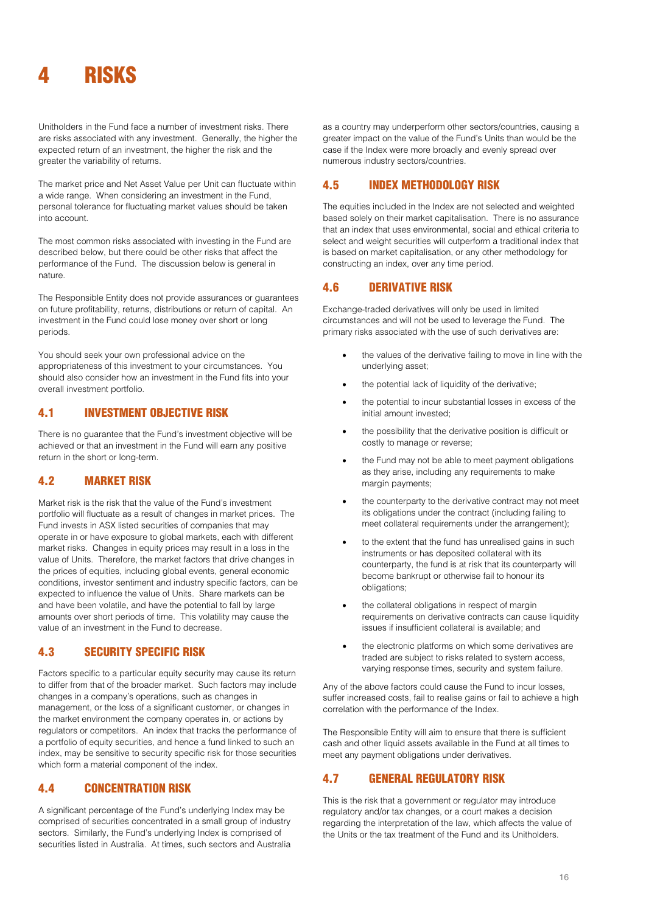<span id="page-15-0"></span>

Unitholders in the Fund face a number of investment risks. There are risks associated with any investment. Generally, the higher the expected return of an investment, the higher the risk and the greater the variability of returns.

The market price and Net Asset Value per Unit can fluctuate within a wide range. When considering an investment in the Fund, personal tolerance for fluctuating market values should be taken into account.

The most common risks associated with investing in the Fund are described below, but there could be other risks that affect the performance of the Fund. The discussion below is general in nature.

The Responsible Entity does not provide assurances or guarantees on future profitability, returns, distributions or return of capital. An investment in the Fund could lose money over short or long periods.

You should seek your own professional advice on the appropriateness of this investment to your circumstances. You should also consider how an investment in the Fund fits into your overall investment portfolio.

# 4.1 INVESTMENT OBJECTIVE RISK

There is no guarantee that the Fund's investment objective will be achieved or that an investment in the Fund will earn any positive return in the short or long-term.

# 4.2 MARKET RISK

Market risk is the risk that the value of the Fund's investment portfolio will fluctuate as a result of changes in market prices. The Fund invests in ASX listed securities of companies that may operate in or have exposure to global markets, each with different market risks. Changes in equity prices may result in a loss in the value of Units. Therefore, the market factors that drive changes in the prices of equities, including global events, general economic conditions, investor sentiment and industry specific factors, can be expected to influence the value of Units. Share markets can be and have been volatile, and have the potential to fall by large amounts over short periods of time. This volatility may cause the value of an investment in the Fund to decrease.

# 4.3 SECURITY SPECIFIC RISK

Factors specific to a particular equity security may cause its return to differ from that of the broader market. Such factors may include changes in a company's operations, such as changes in management, or the loss of a significant customer, or changes in the market environment the company operates in, or actions by regulators or competitors. An index that tracks the performance of a portfolio of equity securities, and hence a fund linked to such an index, may be sensitive to security specific risk for those securities which form a material component of the index.

# 4.4 CONCENTRATION RISK

A significant percentage of the Fund's underlying Index may be comprised of securities concentrated in a small group of industry sectors. Similarly, the Fund's underlying Index is comprised of securities listed in Australia. At times, such sectors and Australia

as a country may underperform other sectors/countries, causing a greater impact on the value of the Fund's Units than would be the case if the Index were more broadly and evenly spread over numerous industry sectors/countries.

# 4.5 INDEX METHODOLOGY RISK

The equities included in the Index are not selected and weighted based solely on their market capitalisation. There is no assurance that an index that uses environmental, social and ethical criteria to select and weight securities will outperform a traditional index that is based on market capitalisation, or any other methodology for constructing an index, over any time period.

# 4.6 DERIVATIVE RISK

Exchange-traded derivatives will only be used in limited circumstances and will not be used to leverage the Fund. The primary risks associated with the use of such derivatives are:

- the values of the derivative failing to move in line with the underlying asset;
- the potential lack of liquidity of the derivative;
- the potential to incur substantial losses in excess of the initial amount invested;
- the possibility that the derivative position is difficult or costly to manage or reverse;
- the Fund may not be able to meet payment obligations as they arise, including any requirements to make margin payments;
- the counterparty to the derivative contract may not meet its obligations under the contract (including failing to meet collateral requirements under the arrangement);
- to the extent that the fund has unrealised gains in such instruments or has deposited collateral with its counterparty, the fund is at risk that its counterparty will become bankrupt or otherwise fail to honour its obligations;
- the collateral obligations in respect of margin requirements on derivative contracts can cause liquidity issues if insufficient collateral is available; and
- the electronic platforms on which some derivatives are traded are subject to risks related to system access, varying response times, security and system failure.

Any of the above factors could cause the Fund to incur losses, suffer increased costs, fail to realise gains or fail to achieve a high correlation with the performance of the Index.

The Responsible Entity will aim to ensure that there is sufficient cash and other liquid assets available in the Fund at all times to meet any payment obligations under derivatives.

# 4.7 GENERAL REGULATORY RISK

This is the risk that a government or regulator may introduce regulatory and/or tax changes, or a court makes a decision regarding the interpretation of the law, which affects the value of the Units or the tax treatment of the Fund and its Unitholders.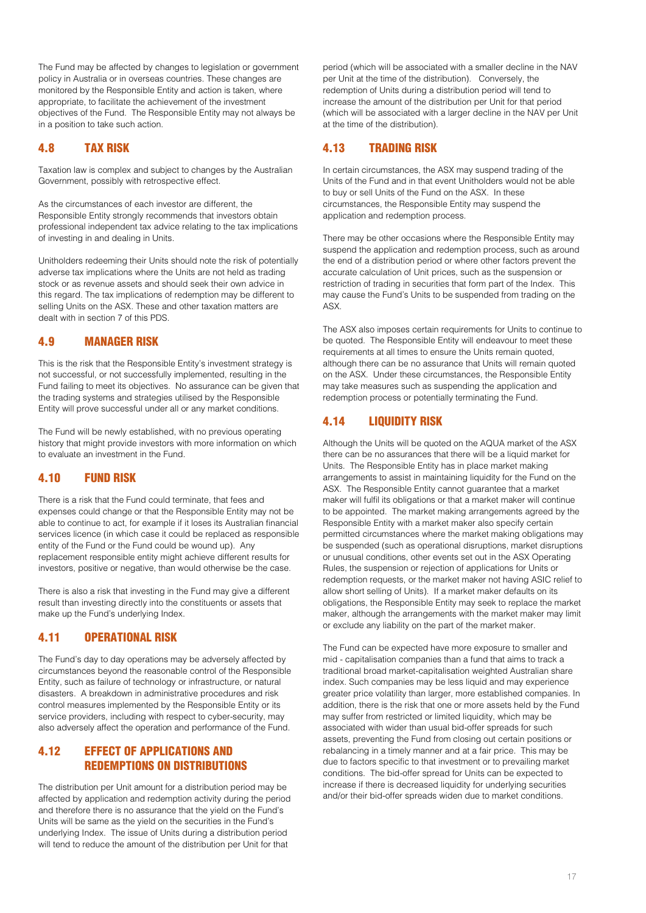The Fund may be affected by changes to legislation or government policy in Australia or in overseas countries. These changes are monitored by the Responsible Entity and action is taken, where appropriate, to facilitate the achievement of the investment objectives of the Fund. The Responsible Entity may not always be in a position to take such action.

# 4.8 TAX RISK

Taxation law is complex and subject to changes by the Australian Government, possibly with retrospective effect.

As the circumstances of each investor are different, the Responsible Entity strongly recommends that investors obtain professional independent tax advice relating to the tax implications of investing in and dealing in Units.

Unitholders redeeming their Units should note the risk of potentially adverse tax implications where the Units are not held as trading stock or as revenue assets and should seek their own advice in this regard. The tax implications of redemption may be different to selling Units on the ASX. These and other taxation matters are dealt with in section 7 of this PDS.

# 4.9 MANAGER RISK

This is the risk that the Responsible Entity's investment strategy is not successful, or not successfully implemented, resulting in the Fund failing to meet its objectives. No assurance can be given that the trading systems and strategies utilised by the Responsible Entity will prove successful under all or any market conditions.

The Fund will be newly established, with no previous operating history that might provide investors with more information on which to evaluate an investment in the Fund.

# 4.10 FUND RISK

There is a risk that the Fund could terminate, that fees and expenses could change or that the Responsible Entity may not be able to continue to act, for example if it loses its Australian financial services licence (in which case it could be replaced as responsible entity of the Fund or the Fund could be wound up). Any replacement responsible entity might achieve different results for investors, positive or negative, than would otherwise be the case.

There is also a risk that investing in the Fund may give a different result than investing directly into the constituents or assets that make up the Fund's underlying Index.

# 4.11 OPERATIONAL RISK

The Fund's day to day operations may be adversely affected by circumstances beyond the reasonable control of the Responsible Entity, such as failure of technology or infrastructure, or natural disasters. A breakdown in administrative procedures and risk control measures implemented by the Responsible Entity or its service providers, including with respect to cyber-security, may also adversely affect the operation and performance of the Fund.

# 4.12 EFFECT OF APPLICATIONS AND REDEMPTIONS ON DISTRIBUTIONS

The distribution per Unit amount for a distribution period may be affected by application and redemption activity during the period and therefore there is no assurance that the yield on the Fund's Units will be same as the yield on the securities in the Fund's underlying Index. The issue of Units during a distribution period will tend to reduce the amount of the distribution per Unit for that

period (which will be associated with a smaller decline in the NAV per Unit at the time of the distribution). Conversely, the redemption of Units during a distribution period will tend to increase the amount of the distribution per Unit for that period (which will be associated with a larger decline in the NAV per Unit at the time of the distribution).

# 4.13 TRADING RISK

In certain circumstances, the ASX may suspend trading of the Units of the Fund and in that event Unitholders would not be able to buy or sell Units of the Fund on the ASX. In these circumstances, the Responsible Entity may suspend the application and redemption process.

There may be other occasions where the Responsible Entity may suspend the application and redemption process, such as around the end of a distribution period or where other factors prevent the accurate calculation of Unit prices, such as the suspension or restriction of trading in securities that form part of the Index. This may cause the Fund's Units to be suspended from trading on the ASX.

The ASX also imposes certain requirements for Units to continue to be quoted. The Responsible Entity will endeavour to meet these requirements at all times to ensure the Units remain quoted, although there can be no assurance that Units will remain quoted on the ASX. Under these circumstances, the Responsible Entity may take measures such as suspending the application and redemption process or potentially terminating the Fund.

# 4.14 LIQUIDITY RISK

Although the Units will be quoted on the AQUA market of the ASX there can be no assurances that there will be a liquid market for Units. The Responsible Entity has in place market making arrangements to assist in maintaining liquidity for the Fund on the ASX. The Responsible Entity cannot guarantee that a market maker will fulfil its obligations or that a market maker will continue to be appointed. The market making arrangements agreed by the Responsible Entity with a market maker also specify certain permitted circumstances where the market making obligations may be suspended (such as operational disruptions, market disruptions or unusual conditions, other events set out in the ASX Operating Rules, the suspension or rejection of applications for Units or redemption requests, or the market maker not having ASIC relief to allow short selling of Units). If a market maker defaults on its obligations, the Responsible Entity may seek to replace the market maker, although the arrangements with the market maker may limit or exclude any liability on the part of the market maker.

The Fund can be expected have more exposure to smaller and mid - capitalisation companies than a fund that aims to track a traditional broad market-capitalisation weighted Australian share index. Such companies may be less liquid and may experience greater price volatility than larger, more established companies. In addition, there is the risk that one or more assets held by the Fund may suffer from restricted or limited liquidity, which may be associated with wider than usual bid-offer spreads for such assets, preventing the Fund from closing out certain positions or rebalancing in a timely manner and at a fair price. This may be due to factors specific to that investment or to prevailing market conditions. The bid-offer spread for Units can be expected to increase if there is decreased liquidity for underlying securities and/or their bid-offer spreads widen due to market conditions.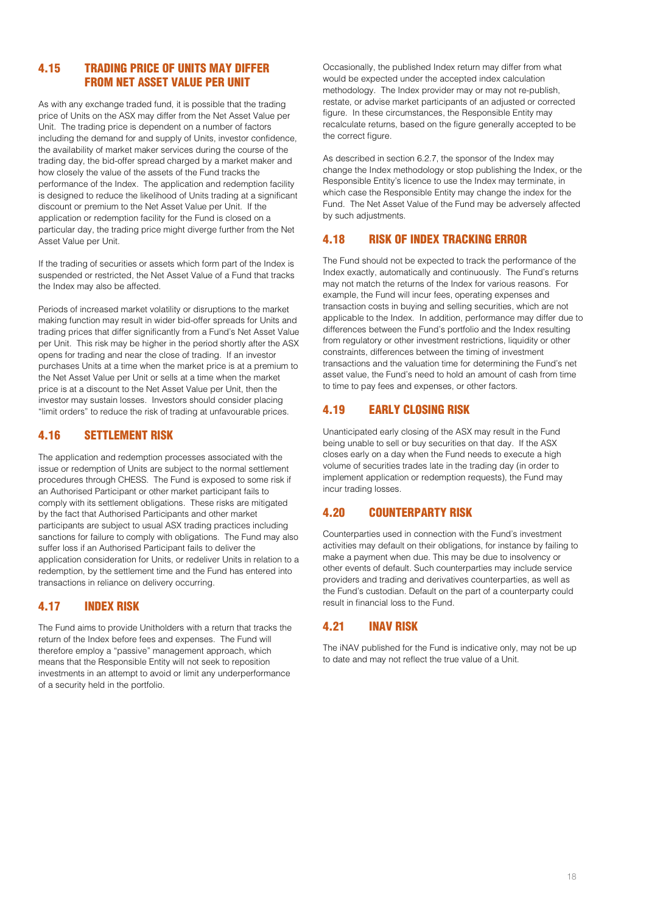# 4.15 TRADING PRICE OF UNITS MAY DIFFER FROM NET ASSET VALUE PER UNIT

As with any exchange traded fund, it is possible that the trading price of Units on the ASX may differ from the Net Asset Value per Unit. The trading price is dependent on a number of factors including the demand for and supply of Units, investor confidence, the availability of market maker services during the course of the trading day, the bid-offer spread charged by a market maker and how closely the value of the assets of the Fund tracks the performance of the Index. The application and redemption facility is designed to reduce the likelihood of Units trading at a significant discount or premium to the Net Asset Value per Unit. If the application or redemption facility for the Fund is closed on a particular day, the trading price might diverge further from the Net Asset Value per Unit.

If the trading of securities or assets which form part of the Index is suspended or restricted, the Net Asset Value of a Fund that tracks the Index may also be affected.

Periods of increased market volatility or disruptions to the market making function may result in wider bid-offer spreads for Units and trading prices that differ significantly from a Fund's Net Asset Value per Unit. This risk may be higher in the period shortly after the ASX opens for trading and near the close of trading. If an investor purchases Units at a time when the market price is at a premium to the Net Asset Value per Unit or sells at a time when the market price is at a discount to the Net Asset Value per Unit, then the investor may sustain losses. Investors should consider placing "limit orders" to reduce the risk of trading at unfavourable prices.

# 4.16 SETTLEMENT RISK

The application and redemption processes associated with the issue or redemption of Units are subject to the normal settlement procedures through CHESS. The Fund is exposed to some risk if an Authorised Participant or other market participant fails to comply with its settlement obligations. These risks are mitigated by the fact that Authorised Participants and other market participants are subject to usual ASX trading practices including sanctions for failure to comply with obligations. The Fund may also suffer loss if an Authorised Participant fails to deliver the application consideration for Units, or redeliver Units in relation to a redemption, by the settlement time and the Fund has entered into transactions in reliance on delivery occurring.

# 4.17 INDEX RISK

The Fund aims to provide Unitholders with a return that tracks the return of the Index before fees and expenses. The Fund will therefore employ a "passive" management approach, which means that the Responsible Entity will not seek to reposition investments in an attempt to avoid or limit any underperformance of a security held in the portfolio.

Occasionally, the published Index return may differ from what would be expected under the accepted index calculation methodology. The Index provider may or may not re-publish, restate, or advise market participants of an adjusted or corrected figure. In these circumstances, the Responsible Entity may recalculate returns, based on the figure generally accepted to be the correct figure.

As described in section 6.2.7, the sponsor of the Index may change the Index methodology or stop publishing the Index, or the Responsible Entity's licence to use the Index may terminate, in which case the Responsible Entity may change the index for the Fund. The Net Asset Value of the Fund may be adversely affected by such adjustments.

# 4.18 RISK OF INDEX TRACKING ERROR

The Fund should not be expected to track the performance of the Index exactly, automatically and continuously. The Fund's returns may not match the returns of the Index for various reasons. For example, the Fund will incur fees, operating expenses and transaction costs in buying and selling securities, which are not applicable to the Index. In addition, performance may differ due to differences between the Fund's portfolio and the Index resulting from regulatory or other investment restrictions, liquidity or other constraints, differences between the timing of investment transactions and the valuation time for determining the Fund's net asset value, the Fund's need to hold an amount of cash from time to time to pay fees and expenses, or other factors.

# 4.19 EARLY CLOSING RISK

Unanticipated early closing of the ASX may result in the Fund being unable to sell or buy securities on that day. If the ASX closes early on a day when the Fund needs to execute a high volume of securities trades late in the trading day (in order to implement application or redemption requests), the Fund may incur trading losses.

# 4.20 COUNTERPARTY RISK

Counterparties used in connection with the Fund's investment activities may default on their obligations, for instance by failing to make a payment when due. This may be due to insolvency or other events of default. Such counterparties may include service providers and trading and derivatives counterparties, as well as the Fund's custodian. Default on the part of a counterparty could result in financial loss to the Fund.

# 4.21 INAV RISK

The iNAV published for the Fund is indicative only, may not be up to date and may not reflect the true value of a Unit.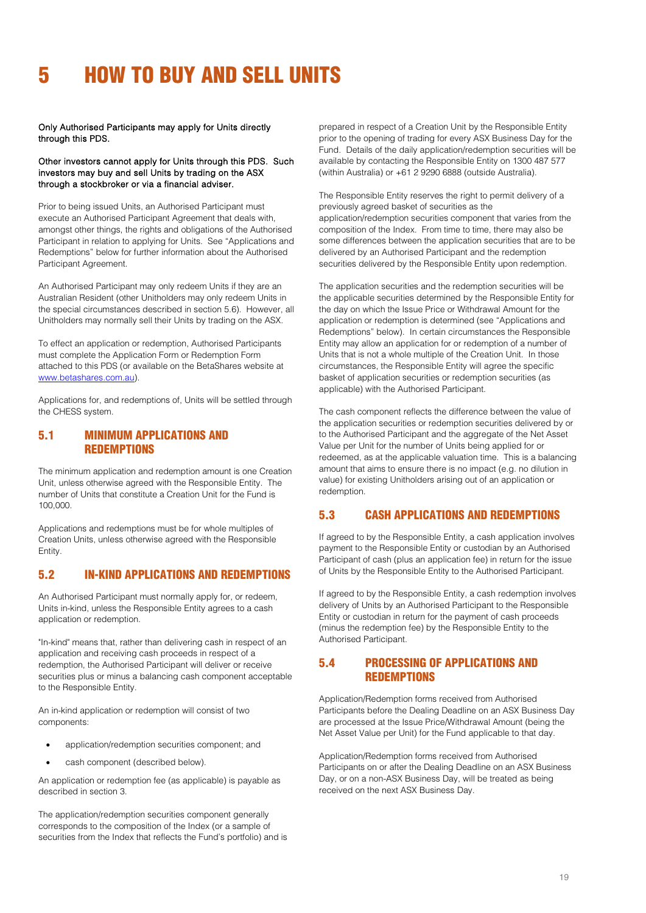# <span id="page-18-0"></span>5 HOW TO BUY AND SELL UNITS

Only Authorised Participants may apply for Units directly through this PDS.

### Other investors cannot apply for Units through this PDS. Such investors may buy and sell Units by trading on the ASX through a stockbroker or via a financial adviser.

Prior to being issued Units, an Authorised Participant must execute an Authorised Participant Agreement that deals with, amongst other things, the rights and obligations of the Authorised Participant in relation to applying for Units. See "Applications and Redemptions" below for further information about the Authorised Participant Agreement.

An Authorised Participant may only redeem Units if they are an Australian Resident (other Unitholders may only redeem Units in the special circumstances described in section 5.6). However, all Unitholders may normally sell their Units by trading on the ASX.

To effect an application or redemption, Authorised Participants must complete the Application Form or Redemption Form attached to this PDS (or available on the BetaShares website at [www.betashares.com.au\)](http://www.betashares.com.au/).

Applications for, and redemptions of, Units will be settled through the CHESS system.

# 5.1 MINIMUM APPLICATIONS AND **REDEMPTIONS**

The minimum application and redemption amount is one Creation Unit, unless otherwise agreed with the Responsible Entity. The number of Units that constitute a Creation Unit for the Fund is 100,000.

Applications and redemptions must be for whole multiples of Creation Units, unless otherwise agreed with the Responsible Entity.

# 5.2 IN-KIND APPLICATIONS AND REDEMPTIONS

An Authorised Participant must normally apply for, or redeem, Units in-kind, unless the Responsible Entity agrees to a cash application or redemption.

"In-kind" means that, rather than delivering cash in respect of an application and receiving cash proceeds in respect of a redemption, the Authorised Participant will deliver or receive securities plus or minus a balancing cash component acceptable to the Responsible Entity.

An in-kind application or redemption will consist of two components:

- application/redemption securities component; and
- cash component (described below).

An application or redemption fee (as applicable) is payable as described in section 3.

The application/redemption securities component generally corresponds to the composition of the Index (or a sample of securities from the Index that reflects the Fund's portfolio) and is prepared in respect of a Creation Unit by the Responsible Entity prior to the opening of trading for every ASX Business Day for the Fund. Details of the daily application/redemption securities will be available by contacting the Responsible Entity on 1300 487 577 (within Australia) or +61 2 9290 6888 (outside Australia).

The Responsible Entity reserves the right to permit delivery of a previously agreed basket of securities as the application/redemption securities component that varies from the composition of the Index. From time to time, there may also be some differences between the application securities that are to be delivered by an Authorised Participant and the redemption securities delivered by the Responsible Entity upon redemption.

The application securities and the redemption securities will be the applicable securities determined by the Responsible Entity for the day on which the Issue Price or Withdrawal Amount for the application or redemption is determined (see "Applications and Redemptions" below). In certain circumstances the Responsible Entity may allow an application for or redemption of a number of Units that is not a whole multiple of the Creation Unit. In those circumstances, the Responsible Entity will agree the specific basket of application securities or redemption securities (as applicable) with the Authorised Participant.

The cash component reflects the difference between the value of the application securities or redemption securities delivered by or to the Authorised Participant and the aggregate of the Net Asset Value per Unit for the number of Units being applied for or redeemed, as at the applicable valuation time. This is a balancing amount that aims to ensure there is no impact (e.g. no dilution in value) for existing Unitholders arising out of an application or redemption.

# 5.3 CASH APPLICATIONS AND REDEMPTIONS

If agreed to by the Responsible Entity, a cash application involves payment to the Responsible Entity or custodian by an Authorised Participant of cash (plus an application fee) in return for the issue of Units by the Responsible Entity to the Authorised Participant.

If agreed to by the Responsible Entity, a cash redemption involves delivery of Units by an Authorised Participant to the Responsible Entity or custodian in return for the payment of cash proceeds (minus the redemption fee) by the Responsible Entity to the Authorised Participant.

# 5.4 PROCESSING OF APPLICATIONS AND **REDEMPTIONS**

Application/Redemption forms received from Authorised Participants before the Dealing Deadline on an ASX Business Day are processed at the Issue Price/Withdrawal Amount (being the Net Asset Value per Unit) for the Fund applicable to that day.

Application/Redemption forms received from Authorised Participants on or after the Dealing Deadline on an ASX Business Day, or on a non-ASX Business Day, will be treated as being received on the next ASX Business Day.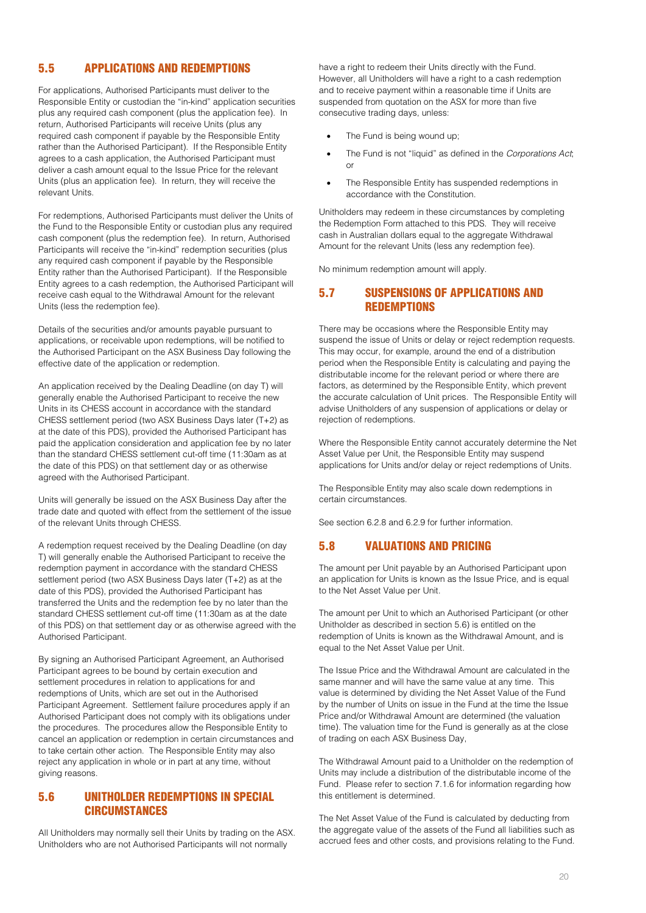# 5.5 APPLICATIONS AND REDEMPTIONS

For applications, Authorised Participants must deliver to the Responsible Entity or custodian the "in-kind" application securities plus any required cash component (plus the application fee). In return, Authorised Participants will receive Units (plus any required cash component if payable by the Responsible Entity rather than the Authorised Participant). If the Responsible Entity agrees to a cash application, the Authorised Participant must deliver a cash amount equal to the Issue Price for the relevant Units (plus an application fee). In return, they will receive the relevant Units.

For redemptions, Authorised Participants must deliver the Units of the Fund to the Responsible Entity or custodian plus any required cash component (plus the redemption fee). In return, Authorised Participants will receive the "in-kind" redemption securities (plus any required cash component if payable by the Responsible Entity rather than the Authorised Participant). If the Responsible Entity agrees to a cash redemption, the Authorised Participant will receive cash equal to the Withdrawal Amount for the relevant Units (less the redemption fee).

Details of the securities and/or amounts payable pursuant to applications, or receivable upon redemptions, will be notified to the Authorised Participant on the ASX Business Day following the effective date of the application or redemption.

An application received by the Dealing Deadline (on day T) will generally enable the Authorised Participant to receive the new Units in its CHESS account in accordance with the standard CHESS settlement period (two ASX Business Days later (T+2) as at the date of this PDS), provided the Authorised Participant has paid the application consideration and application fee by no later than the standard CHESS settlement cut-off time (11:30am as at the date of this PDS) on that settlement day or as otherwise agreed with the Authorised Participant.

Units will generally be issued on the ASX Business Day after the trade date and quoted with effect from the settlement of the issue of the relevant Units through CHESS.

A redemption request received by the Dealing Deadline (on day T) will generally enable the Authorised Participant to receive the redemption payment in accordance with the standard CHESS settlement period (two ASX Business Days later (T+2) as at the date of this PDS), provided the Authorised Participant has transferred the Units and the redemption fee by no later than the standard CHESS settlement cut-off time (11:30am as at the date of this PDS) on that settlement day or as otherwise agreed with the Authorised Participant.

By signing an Authorised Participant Agreement, an Authorised Participant agrees to be bound by certain execution and settlement procedures in relation to applications for and redemptions of Units, which are set out in the Authorised Participant Agreement. Settlement failure procedures apply if an Authorised Participant does not comply with its obligations under the procedures. The procedures allow the Responsible Entity to cancel an application or redemption in certain circumstances and to take certain other action. The Responsible Entity may also reject any application in whole or in part at any time, without giving reasons.

# 5.6 UNITHOLDER REDEMPTIONS IN SPECIAL CIRCUMSTANCES

All Unitholders may normally sell their Units by trading on the ASX. Unitholders who are not Authorised Participants will not normally

have a right to redeem their Units directly with the Fund. However, all Unitholders will have a right to a cash redemption and to receive payment within a reasonable time if Units are suspended from quotation on the ASX for more than five consecutive trading days, unless:

- The Fund is being wound up;
- The Fund is not "liquid" as defined in the *Corporations Act*; or
- The Responsible Entity has suspended redemptions in accordance with the Constitution.

Unitholders may redeem in these circumstances by completing the Redemption Form attached to this PDS. They will receive cash in Australian dollars equal to the aggregate Withdrawal Amount for the relevant Units (less any redemption fee).

No minimum redemption amount will apply.

# 5.7 SUSPENSIONS OF APPLICATIONS AND **REDEMPTIONS**

There may be occasions where the Responsible Entity may suspend the issue of Units or delay or reject redemption requests. This may occur, for example, around the end of a distribution period when the Responsible Entity is calculating and paying the distributable income for the relevant period or where there are factors, as determined by the Responsible Entity, which prevent the accurate calculation of Unit prices. The Responsible Entity will advise Unitholders of any suspension of applications or delay or rejection of redemptions.

Where the Responsible Entity cannot accurately determine the Net Asset Value per Unit, the Responsible Entity may suspend applications for Units and/or delay or reject redemptions of Units.

The Responsible Entity may also scale down redemptions in certain circumstances.

See section 6.2.8 and 6.2.9 for further information.

# 5.8 VALUATIONS AND PRICING

The amount per Unit payable by an Authorised Participant upon an application for Units is known as the Issue Price, and is equal to the Net Asset Value per Unit.

The amount per Unit to which an Authorised Participant (or other Unitholder as described in section 5.6) is entitled on the redemption of Units is known as the Withdrawal Amount, and is equal to the Net Asset Value per Unit.

The Issue Price and the Withdrawal Amount are calculated in the same manner and will have the same value at any time. This value is determined by dividing the Net Asset Value of the Fund by the number of Units on issue in the Fund at the time the Issue Price and/or Withdrawal Amount are determined (the valuation time). The valuation time for the Fund is generally as at the close of trading on each ASX Business Day,

The Withdrawal Amount paid to a Unitholder on the redemption of Units may include a distribution of the distributable income of the Fund. Please refer to section 7.1.6 for information regarding how this entitlement is determined.

The Net Asset Value of the Fund is calculated by deducting from the aggregate value of the assets of the Fund all liabilities such as accrued fees and other costs, and provisions relating to the Fund.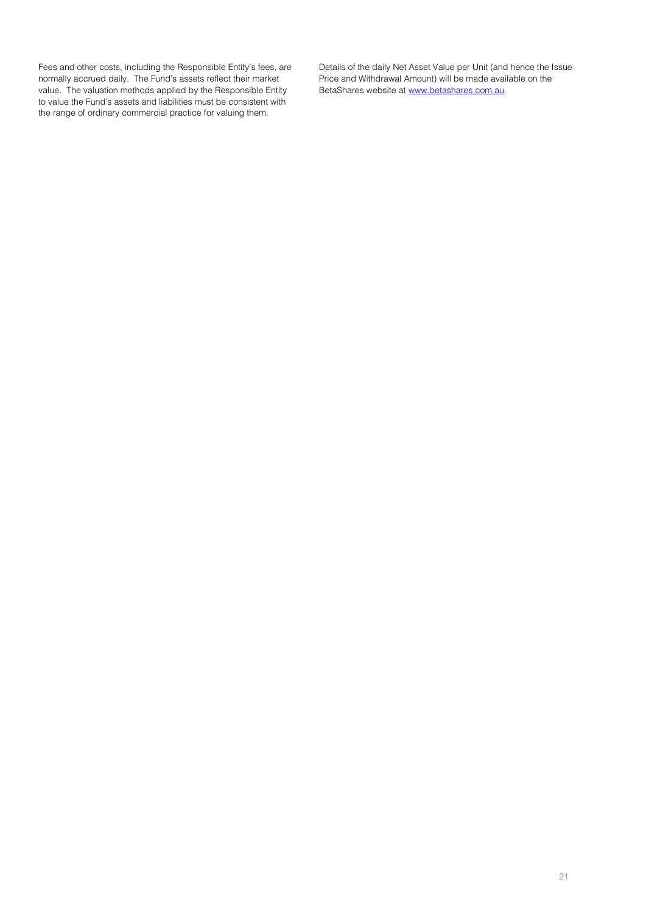Fees and other costs, including the Responsible Entity's fees, are normally accrued daily. The Fund's assets reflect their market value. The valuation methods applied by the Responsible Entity to value the Fund's assets and liabilities must be consistent with the range of ordinary commercial practice for valuing them.

Details of the daily Net Asset Value per Unit (and hence the Issue Price and Withdrawal Amount) will be made available on the BetaShares website a[t www.betashares.com.au.](http://www.betashares.com.au/)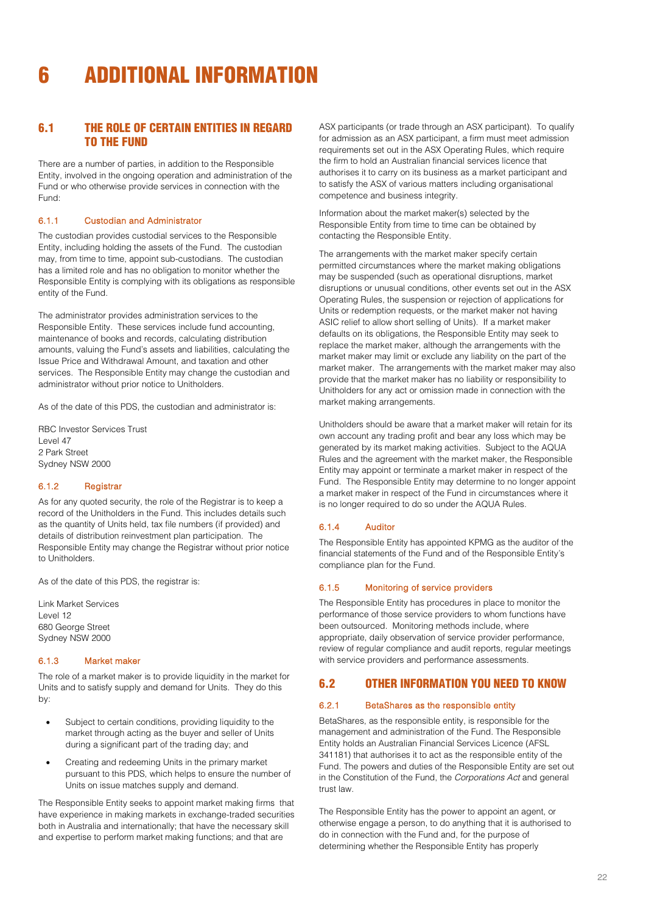# <span id="page-21-0"></span>6 ADDITIONAL INFORMATION

# 6.1 THE ROLE OF CERTAIN ENTITIES IN REGARD TO THE FUND

There are a number of parties, in addition to the Responsible Entity, involved in the ongoing operation and administration of the Fund or who otherwise provide services in connection with the Fund:

## 6.1.1 Custodian and Administrator

The custodian provides custodial services to the Responsible Entity, including holding the assets of the Fund. The custodian may, from time to time, appoint sub-custodians. The custodian has a limited role and has no obligation to monitor whether the Responsible Entity is complying with its obligations as responsible entity of the Fund.

The administrator provides administration services to the Responsible Entity. These services include fund accounting, maintenance of books and records, calculating distribution amounts, valuing the Fund's assets and liabilities, calculating the Issue Price and Withdrawal Amount, and taxation and other services. The Responsible Entity may change the custodian and administrator without prior notice to Unitholders.

As of the date of this PDS, the custodian and administrator is:

RBC Investor Services Trust Level 47 2 Park Street Sydney NSW 2000

#### 6.1.2 Registrar

As for any quoted security, the role of the Registrar is to keep a record of the Unitholders in the Fund. This includes details such as the quantity of Units held, tax file numbers (if provided) and details of distribution reinvestment plan participation. The Responsible Entity may change the Registrar without prior notice to Unitholders.

As of the date of this PDS, the registrar is:

Link Market Services Level 12 680 George Street Sydney NSW 2000

#### 6.1.3 Market maker

The role of a market maker is to provide liquidity in the market for Units and to satisfy supply and demand for Units. They do this by:

- Subject to certain conditions, providing liquidity to the market through acting as the buyer and seller of Units during a significant part of the trading day; and
- Creating and redeeming Units in the primary market pursuant to this PDS, which helps to ensure the number of Units on issue matches supply and demand.

The Responsible Entity seeks to appoint market making firms that have experience in making markets in exchange-traded securities both in Australia and internationally; that have the necessary skill and expertise to perform market making functions; and that are

ASX participants (or trade through an ASX participant). To qualify for admission as an ASX participant, a firm must meet admission requirements set out in the ASX Operating Rules, which require the firm to hold an Australian financial services licence that authorises it to carry on its business as a market participant and to satisfy the ASX of various matters including organisational competence and business integrity.

Information about the market maker(s) selected by the Responsible Entity from time to time can be obtained by contacting the Responsible Entity.

The arrangements with the market maker specify certain permitted circumstances where the market making obligations may be suspended (such as operational disruptions, market disruptions or unusual conditions, other events set out in the ASX Operating Rules, the suspension or rejection of applications for Units or redemption requests, or the market maker not having ASIC relief to allow short selling of Units). If a market maker defaults on its obligations, the Responsible Entity may seek to replace the market maker, although the arrangements with the market maker may limit or exclude any liability on the part of the market maker. The arrangements with the market maker may also provide that the market maker has no liability or responsibility to Unitholders for any act or omission made in connection with the market making arrangements.

Unitholders should be aware that a market maker will retain for its own account any trading profit and bear any loss which may be generated by its market making activities. Subject to the AQUA Rules and the agreement with the market maker, the Responsible Entity may appoint or terminate a market maker in respect of the Fund. The Responsible Entity may determine to no longer appoint a market maker in respect of the Fund in circumstances where it is no longer required to do so under the AQUA Rules.

#### 6.1.4 Auditor

The Responsible Entity has appointed KPMG as the auditor of the financial statements of the Fund and of the Responsible Entity's compliance plan for the Fund.

#### 6.1.5 Monitoring of service providers

The Responsible Entity has procedures in place to monitor the performance of those service providers to whom functions have been outsourced. Monitoring methods include, where appropriate, daily observation of service provider performance, review of regular compliance and audit reports, regular meetings with service providers and performance assessments.

# 6.2 OTHER INFORMATION YOU NEED TO KNOW

#### 6.2.1 BetaShares as the responsible entity

BetaShares, as the responsible entity, is responsible for the management and administration of the Fund. The Responsible Entity holds an Australian Financial Services Licence (AFSL 341181) that authorises it to act as the responsible entity of the Fund. The powers and duties of the Responsible Entity are set out in the Constitution of the Fund, the *Corporations Act* and general trust law.

The Responsible Entity has the power to appoint an agent, or otherwise engage a person, to do anything that it is authorised to do in connection with the Fund and, for the purpose of determining whether the Responsible Entity has properly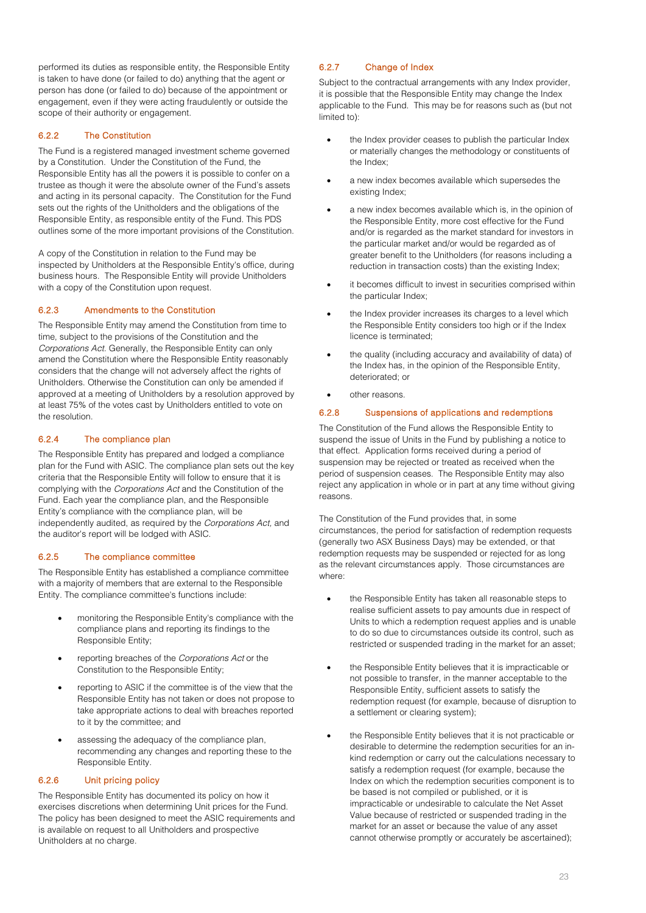performed its duties as responsible entity, the Responsible Entity is taken to have done (or failed to do) anything that the agent or person has done (or failed to do) because of the appointment or engagement, even if they were acting fraudulently or outside the scope of their authority or engagement.

# 6.2.2 The Constitution

The Fund is a registered managed investment scheme governed by a Constitution. Under the Constitution of the Fund, the Responsible Entity has all the powers it is possible to confer on a trustee as though it were the absolute owner of the Fund's assets and acting in its personal capacity. The Constitution for the Fund sets out the rights of the Unitholders and the obligations of the Responsible Entity, as responsible entity of the Fund. This PDS outlines some of the more important provisions of the Constitution.

A copy of the Constitution in relation to the Fund may be inspected by Unitholders at the Responsible Entity's office, during business hours. The Responsible Entity will provide Unitholders with a copy of the Constitution upon request.

## 6.2.3 Amendments to the Constitution

The Responsible Entity may amend the Constitution from time to time, subject to the provisions of the Constitution and the *Corporations Act.* Generally, the Responsible Entity can only amend the Constitution where the Responsible Entity reasonably considers that the change will not adversely affect the rights of Unitholders. Otherwise the Constitution can only be amended if approved at a meeting of Unitholders by a resolution approved by at least 75% of the votes cast by Unitholders entitled to vote on the resolution.

## 6.2.4 The compliance plan

The Responsible Entity has prepared and lodged a compliance plan for the Fund with ASIC. The compliance plan sets out the key criteria that the Responsible Entity will follow to ensure that it is complying with the *Corporations Act* and the Constitution of the Fund. Each year the compliance plan, and the Responsible Entity's compliance with the compliance plan, will be independently audited, as required by the *Corporations Act,* and the auditor's report will be lodged with ASIC.

## 6.2.5 The compliance committee

The Responsible Entity has established a compliance committee with a majority of members that are external to the Responsible Entity. The compliance committee's functions include:

- monitoring the Responsible Entity's compliance with the compliance plans and reporting its findings to the Responsible Entity;
- reporting breaches of the *Corporations Act* or the Constitution to the Responsible Entity;
- reporting to ASIC if the committee is of the view that the Responsible Entity has not taken or does not propose to take appropriate actions to deal with breaches reported to it by the committee; and
- assessing the adequacy of the compliance plan, recommending any changes and reporting these to the Responsible Entity.

## 6.2.6 Unit pricing policy

The Responsible Entity has documented its policy on how it exercises discretions when determining Unit prices for the Fund. The policy has been designed to meet the ASIC requirements and is available on request to all Unitholders and prospective Unitholders at no charge.

# 6.2.7 Change of Index

Subject to the contractual arrangements with any Index provider, it is possible that the Responsible Entity may change the Index applicable to the Fund. This may be for reasons such as (but not limited to):

- the Index provider ceases to publish the particular Index or materially changes the methodology or constituents of the Index;
- a new index becomes available which supersedes the existing Index;
- a new index becomes available which is, in the opinion of the Responsible Entity, more cost effective for the Fund and/or is regarded as the market standard for investors in the particular market and/or would be regarded as of greater benefit to the Unitholders (for reasons including a reduction in transaction costs) than the existing Index;
- it becomes difficult to invest in securities comprised within the particular Index;
- the Index provider increases its charges to a level which the Responsible Entity considers too high or if the Index licence is terminated;
- the quality (including accuracy and availability of data) of the Index has, in the opinion of the Responsible Entity, deteriorated; or
- other reasons.

## 6.2.8 Suspensions of applications and redemptions

The Constitution of the Fund allows the Responsible Entity to suspend the issue of Units in the Fund by publishing a notice to that effect. Application forms received during a period of suspension may be rejected or treated as received when the period of suspension ceases. The Responsible Entity may also reject any application in whole or in part at any time without giving reasons.

The Constitution of the Fund provides that, in some circumstances, the period for satisfaction of redemption requests (generally two ASX Business Days) may be extended, or that redemption requests may be suspended or rejected for as long as the relevant circumstances apply. Those circumstances are where:

- the Responsible Entity has taken all reasonable steps to realise sufficient assets to pay amounts due in respect of Units to which a redemption request applies and is unable to do so due to circumstances outside its control, such as restricted or suspended trading in the market for an asset;
- the Responsible Entity believes that it is impracticable or not possible to transfer, in the manner acceptable to the Responsible Entity, sufficient assets to satisfy the redemption request (for example, because of disruption to a settlement or clearing system);
- the Responsible Entity believes that it is not practicable or desirable to determine the redemption securities for an inkind redemption or carry out the calculations necessary to satisfy a redemption request (for example, because the Index on which the redemption securities component is to be based is not compiled or published, or it is impracticable or undesirable to calculate the Net Asset Value because of restricted or suspended trading in the market for an asset or because the value of any asset cannot otherwise promptly or accurately be ascertained);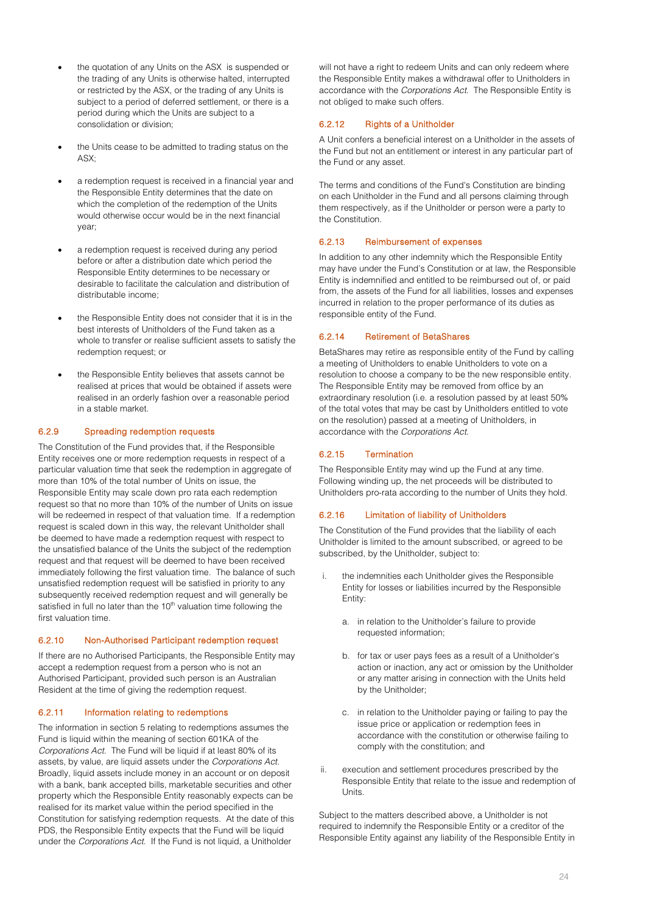- the quotation of any Units on the ASX is suspended or the trading of any Units is otherwise halted, interrupted or restricted by the ASX, or the trading of any Units is subject to a period of deferred settlement, or there is a period during which the Units are subject to a consolidation or division;
- the Units cease to be admitted to trading status on the ASX;
- a redemption request is received in a financial year and the Responsible Entity determines that the date on which the completion of the redemption of the Units would otherwise occur would be in the next financial year;
- a redemption request is received during any period before or after a distribution date which period the Responsible Entity determines to be necessary or desirable to facilitate the calculation and distribution of distributable income;
- the Responsible Entity does not consider that it is in the best interests of Unitholders of the Fund taken as a whole to transfer or realise sufficient assets to satisfy the redemption request; or
- the Responsible Entity believes that assets cannot be realised at prices that would be obtained if assets were realised in an orderly fashion over a reasonable period in a stable market.

## 6.2.9 Spreading redemption requests

The Constitution of the Fund provides that, if the Responsible Entity receives one or more redemption requests in respect of a particular valuation time that seek the redemption in aggregate of more than 10% of the total number of Units on issue, the Responsible Entity may scale down pro rata each redemption request so that no more than 10% of the number of Units on issue will be redeemed in respect of that valuation time. If a redemption request is scaled down in this way, the relevant Unitholder shall be deemed to have made a redemption request with respect to the unsatisfied balance of the Units the subject of the redemption request and that request will be deemed to have been received immediately following the first valuation time. The balance of such unsatisfied redemption request will be satisfied in priority to any subsequently received redemption request and will generally be satisfied in full no later than the 10<sup>th</sup> valuation time following the first valuation time.

## 6.2.10 Non-Authorised Participant redemption request

If there are no Authorised Participants, the Responsible Entity may accept a redemption request from a person who is not an Authorised Participant, provided such person is an Australian Resident at the time of giving the redemption request.

## 6.2.11 Information relating to redemptions

The information in sectio[n 5](#page-18-0) relating to redemptions assumes the Fund is liquid within the meaning of section 601KA of the *Corporations Act*. The Fund will be liquid if at least 80% of its assets, by value, are liquid assets under the *Corporations Act*. Broadly, liquid assets include money in an account or on deposit with a bank, bank accepted bills, marketable securities and other property which the Responsible Entity reasonably expects can be realised for its market value within the period specified in the Constitution for satisfying redemption requests. At the date of this PDS, the Responsible Entity expects that the Fund will be liquid under the *Corporations Act*. If the Fund is not liquid, a Unitholder

will not have a right to redeem Units and can only redeem where the Responsible Entity makes a withdrawal offer to Unitholders in accordance with the *Corporations Act*. The Responsible Entity is not obliged to make such offers.

## 6.2.12 Rights of a Unitholder

A Unit confers a beneficial interest on a Unitholder in the assets of the Fund but not an entitlement or interest in any particular part of the Fund or any asset.

The terms and conditions of the Fund's Constitution are binding on each Unitholder in the Fund and all persons claiming through them respectively, as if the Unitholder or person were a party to the Constitution.

#### 6.2.13 Reimbursement of expenses

In addition to any other indemnity which the Responsible Entity may have under the Fund's Constitution or at law, the Responsible Entity is indemnified and entitled to be reimbursed out of, or paid from, the assets of the Fund for all liabilities, losses and expenses incurred in relation to the proper performance of its duties as responsible entity of the Fund.

#### 6.2.14 Retirement of BetaShares

BetaShares may retire as responsible entity of the Fund by calling a meeting of Unitholders to enable Unitholders to vote on a resolution to choose a company to be the new responsible entity. The Responsible Entity may be removed from office by an extraordinary resolution (i.e. a resolution passed by at least 50% of the total votes that may be cast by Unitholders entitled to vote on the resolution) passed at a meeting of Unitholders, in accordance with the *Corporations Act.* 

## 6.2.15 Termination

The Responsible Entity may wind up the Fund at any time. Following winding up, the net proceeds will be distributed to Unitholders pro-rata according to the number of Units they hold.

## 6.2.16 Limitation of liability of Unitholders

The Constitution of the Fund provides that the liability of each Unitholder is limited to the amount subscribed, or agreed to be subscribed, by the Unitholder, subject to:

- i. the indemnities each Unitholder gives the Responsible Entity for losses or liabilities incurred by the Responsible Entity:
	- a. in relation to the Unitholder's failure to provide requested information;
	- b. for tax or user pays fees as a result of a Unitholder's action or inaction, any act or omission by the Unitholder or any matter arising in connection with the Units held by the Unitholder;
	- c. in relation to the Unitholder paying or failing to pay the issue price or application or redemption fees in accordance with the constitution or otherwise failing to comply with the constitution; and
- ii. execution and settlement procedures prescribed by the Responsible Entity that relate to the issue and redemption of Units.

Subject to the matters described above, a Unitholder is not required to indemnify the Responsible Entity or a creditor of the Responsible Entity against any liability of the Responsible Entity in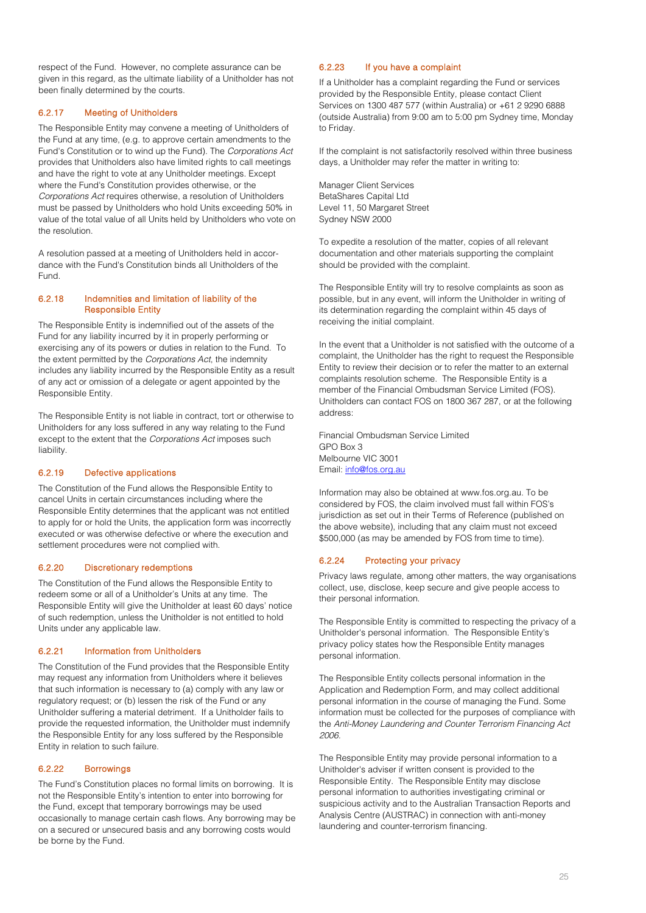respect of the Fund. However, no complete assurance can be given in this regard, as the ultimate liability of a Unitholder has not been finally determined by the courts.

# 6.2.17 Meeting of Unitholders

The Responsible Entity may convene a meeting of Unitholders of the Fund at any time, (e.g. to approve certain amendments to the Fund's Constitution or to wind up the Fund). The *Corporations Act* provides that Unitholders also have limited rights to call meetings and have the right to vote at any Unitholder meetings. Except where the Fund's Constitution provides otherwise, or the *Corporations Act* requires otherwise, a resolution of Unitholders must be passed by Unitholders who hold Units exceeding 50% in value of the total value of all Units held by Unitholders who vote on the resolution.

A resolution passed at a meeting of Unitholders held in accordance with the Fund's Constitution binds all Unitholders of the Fund.

#### 6.2.18 Indemnities and limitation of liability of the Responsible Entity

The Responsible Entity is indemnified out of the assets of the Fund for any liability incurred by it in properly performing or exercising any of its powers or duties in relation to the Fund. To the extent permitted by the *Corporations Act*, the indemnity includes any liability incurred by the Responsible Entity as a result of any act or omission of a delegate or agent appointed by the Responsible Entity.

The Responsible Entity is not liable in contract, tort or otherwise to Unitholders for any loss suffered in any way relating to the Fund except to the extent that the *Corporations Act* imposes such liability.

## 6.2.19 Defective applications

The Constitution of the Fund allows the Responsible Entity to cancel Units in certain circumstances including where the Responsible Entity determines that the applicant was not entitled to apply for or hold the Units, the application form was incorrectly executed or was otherwise defective or where the execution and settlement procedures were not complied with.

## 6.2.20 Discretionary redemptions

The Constitution of the Fund allows the Responsible Entity to redeem some or all of a Unitholder's Units at any time. The Responsible Entity will give the Unitholder at least 60 days' notice of such redemption, unless the Unitholder is not entitled to hold Units under any applicable law.

## 6.2.21 Information from Unitholders

The Constitution of the Fund provides that the Responsible Entity may request any information from Unitholders where it believes that such information is necessary to (a) comply with any law or regulatory request; or (b) lessen the risk of the Fund or any Unitholder suffering a material detriment. If a Unitholder fails to provide the requested information, the Unitholder must indemnify the Responsible Entity for any loss suffered by the Responsible Entity in relation to such failure.

## 6.2.22 Borrowings

The Fund's Constitution places no formal limits on borrowing. It is not the Responsible Entity's intention to enter into borrowing for the Fund, except that temporary borrowings may be used occasionally to manage certain cash flows. Any borrowing may be on a secured or unsecured basis and any borrowing costs would be borne by the Fund.

## 6.2.23 If you have a complaint

If a Unitholder has a complaint regarding the Fund or services provided by the Responsible Entity, please contact Client Services on 1300 487 577 (within Australia) or +61 2 9290 6888 (outside Australia) from 9:00 am to 5:00 pm Sydney time, Monday to Friday.

If the complaint is not satisfactorily resolved within three business days, a Unitholder may refer the matter in writing to:

Manager Client Services BetaShares Capital Ltd Level 11, 50 Margaret Street Sydney NSW 2000

To expedite a resolution of the matter, copies of all relevant documentation and other materials supporting the complaint should be provided with the complaint.

The Responsible Entity will try to resolve complaints as soon as possible, but in any event, will inform the Unitholder in writing of its determination regarding the complaint within 45 days of receiving the initial complaint.

In the event that a Unitholder is not satisfied with the outcome of a complaint, the Unitholder has the right to request the Responsible Entity to review their decision or to refer the matter to an external complaints resolution scheme. The Responsible Entity is a member of the Financial Ombudsman Service Limited (FOS). Unitholders can contact FOS on 1800 367 287, or at the following address:

Financial Ombudsman Service Limited GPO Box 3 Melbourne VIC 3001 Email[: info@fos.org.au](mailto:info@fos.org.au)

Information may also be obtained at www.fos.org.au. To be considered by FOS, the claim involved must fall within FOS's jurisdiction as set out in their Terms of Reference (published on the above website), including that any claim must not exceed \$500,000 (as may be amended by FOS from time to time).

## 6.2.24 Protecting your privacy

Privacy laws regulate, among other matters, the way organisations collect, use, disclose, keep secure and give people access to their personal information.

The Responsible Entity is committed to respecting the privacy of a Unitholder's personal information. The Responsible Entity's privacy policy states how the Responsible Entity manages personal information.

The Responsible Entity collects personal information in the Application and Redemption Form, and may collect additional personal information in the course of managing the Fund. Some information must be collected for the purposes of compliance with the *Anti-Money Laundering and Counter Terrorism Financing Act 2006.* 

The Responsible Entity may provide personal information to a Unitholder's adviser if written consent is provided to the Responsible Entity. The Responsible Entity may disclose personal information to authorities investigating criminal or suspicious activity and to the Australian Transaction Reports and Analysis Centre (AUSTRAC) in connection with anti-money laundering and counter-terrorism financing.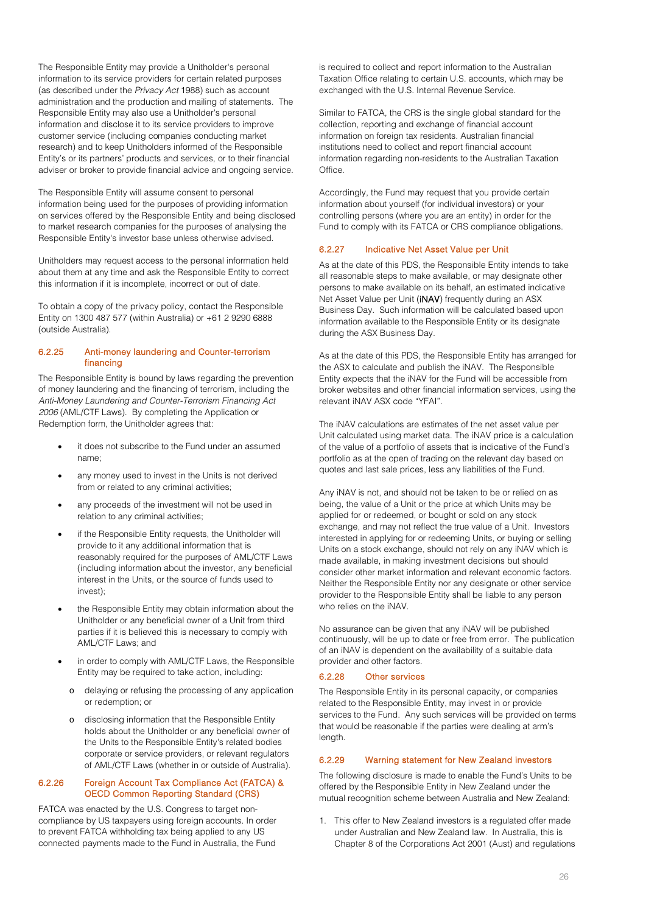The Responsible Entity may provide a Unitholder's personal information to its service providers for certain related purposes (as described under the *Privacy Act* 1988) such as account administration and the production and mailing of statements. The Responsible Entity may also use a Unitholder's personal information and disclose it to its service providers to improve customer service (including companies conducting market research) and to keep Unitholders informed of the Responsible Entity's or its partners' products and services, or to their financial adviser or broker to provide financial advice and ongoing service.

The Responsible Entity will assume consent to personal information being used for the purposes of providing information on services offered by the Responsible Entity and being disclosed to market research companies for the purposes of analysing the Responsible Entity's investor base unless otherwise advised.

Unitholders may request access to the personal information held about them at any time and ask the Responsible Entity to correct this information if it is incomplete, incorrect or out of date.

To obtain a copy of the privacy policy, contact the Responsible Entity on 1300 487 577 (within Australia) or +61 2 9290 6888 (outside Australia).

## 6.2.25 Anti-money laundering and Counter-terrorism financing

The Responsible Entity is bound by laws regarding the prevention of money laundering and the financing of terrorism, including the *Anti-Money Laundering and Counter-Terrorism Financing Act 2006* (AML/CTF Laws). By completing the Application or Redemption form, the Unitholder agrees that:

- it does not subscribe to the Fund under an assumed name;
- any money used to invest in the Units is not derived from or related to any criminal activities;
- any proceeds of the investment will not be used in relation to any criminal activities;
- if the Responsible Entity requests, the Unitholder will provide to it any additional information that is reasonably required for the purposes of AML/CTF Laws (including information about the investor, any beneficial interest in the Units, or the source of funds used to invest);
- the Responsible Entity may obtain information about the Unitholder or any beneficial owner of a Unit from third parties if it is believed this is necessary to comply with AML/CTF Laws; and
- in order to comply with AML/CTF Laws, the Responsible Entity may be required to take action, including:
	- o delaying or refusing the processing of any application or redemption; or
	- o disclosing information that the Responsible Entity holds about the Unitholder or any beneficial owner of the Units to the Responsible Entity's related bodies corporate or service providers, or relevant regulators of AML/CTF Laws (whether in or outside of Australia).

## 6.2.26 Foreign Account Tax Compliance Act (FATCA) & OECD Common Reporting Standard (CRS)

FATCA was enacted by the U.S. Congress to target noncompliance by US taxpayers using foreign accounts. In order to prevent FATCA withholding tax being applied to any US connected payments made to the Fund in Australia, the Fund

is required to collect and report information to the Australian Taxation Office relating to certain U.S. accounts, which may be exchanged with the U.S. Internal Revenue Service.

Similar to FATCA, the CRS is the single global standard for the collection, reporting and exchange of financial account information on foreign tax residents. Australian financial institutions need to collect and report financial account information regarding non-residents to the Australian Taxation Office.

Accordingly, the Fund may request that you provide certain information about yourself (for individual investors) or your controlling persons (where you are an entity) in order for the Fund to comply with its FATCA or CRS compliance obligations.

## 6.2.27 Indicative Net Asset Value per Unit

As at the date of this PDS, the Responsible Entity intends to take all reasonable steps to make available, or may designate other persons to make available on its behalf, an estimated indicative Net Asset Value per Unit (iNAV) frequently during an ASX Business Day. Such information will be calculated based upon information available to the Responsible Entity or its designate during the ASX Business Day.

As at the date of this PDS, the Responsible Entity has arranged for the ASX to calculate and publish the iNAV. The Responsible Entity expects that the iNAV for the Fund will be accessible from broker websites and other financial information services, using the relevant iNAV ASX code "YFAI".

The iNAV calculations are estimates of the net asset value per Unit calculated using market data. The iNAV price is a calculation of the value of a portfolio of assets that is indicative of the Fund's portfolio as at the open of trading on the relevant day based on quotes and last sale prices, less any liabilities of the Fund.

Any iNAV is not, and should not be taken to be or relied on as being, the value of a Unit or the price at which Units may be applied for or redeemed, or bought or sold on any stock exchange, and may not reflect the true value of a Unit. Investors interested in applying for or redeeming Units, or buying or selling Units on a stock exchange, should not rely on any iNAV which is made available, in making investment decisions but should consider other market information and relevant economic factors. Neither the Responsible Entity nor any designate or other service provider to the Responsible Entity shall be liable to any person who relies on the iNAV.

No assurance can be given that any iNAV will be published continuously, will be up to date or free from error. The publication of an iNAV is dependent on the availability of a suitable data provider and other factors.

## 6.2.28 Other services

The Responsible Entity in its personal capacity, or companies related to the Responsible Entity, may invest in or provide services to the Fund. Any such services will be provided on terms that would be reasonable if the parties were dealing at arm's length.

## 6.2.29 Warning statement for New Zealand investors

The following disclosure is made to enable the Fund's Units to be offered by the Responsible Entity in New Zealand under the mutual recognition scheme between Australia and New Zealand:

1. This offer to New Zealand investors is a regulated offer made under Australian and New Zealand law. In Australia, this is Chapter 8 of the Corporations Act 2001 (Aust) and regulations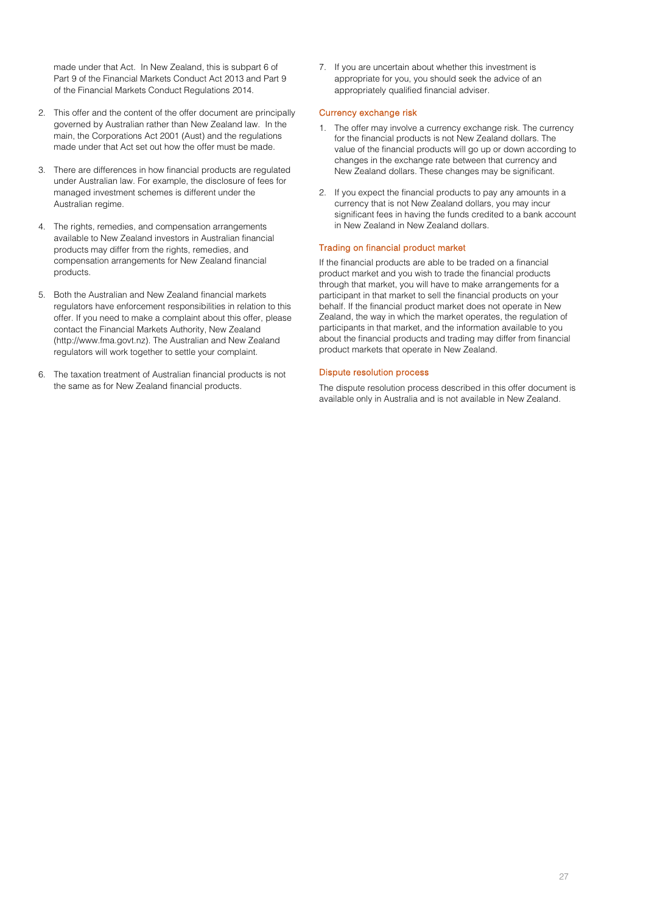made under that Act. In New Zealand, this is subpart 6 of Part 9 of the Financial Markets Conduct Act 2013 and Part 9 of the Financial Markets Conduct Regulations 2014.

- 2. This offer and the content of the offer document are principally governed by Australian rather than New Zealand law. In the main, the Corporations Act 2001 (Aust) and the regulations made under that Act set out how the offer must be made.
- 3. There are differences in how financial products are regulated under Australian law. For example, the disclosure of fees for managed investment schemes is different under the Australian regime.
- 4. The rights, remedies, and compensation arrangements available to New Zealand investors in Australian financial products may differ from the rights, remedies, and compensation arrangements for New Zealand financial products.
- 5. Both the Australian and New Zealand financial markets regulators have enforcement responsibilities in relation to this offer. If you need to make a complaint about this offer, please contact the Financial Markets Authority, New Zealand [\(http://www.fma.govt.nz\)](http://www.fma.govt.nz/). The Australian and New Zealand regulators will work together to settle your complaint.
- 6. The taxation treatment of Australian financial products is not the same as for New Zealand financial products.

7. If you are uncertain about whether this investment is appropriate for you, you should seek the advice of an appropriately qualified financial adviser.

## Currency exchange risk

- 1. The offer may involve a currency exchange risk. The currency for the financial products is not New Zealand dollars. The value of the financial products will go up or down according to changes in the exchange rate between that currency and New Zealand dollars. These changes may be significant.
- 2. If you expect the financial products to pay any amounts in a currency that is not New Zealand dollars, you may incur significant fees in having the funds credited to a bank account in New Zealand in New Zealand dollars.

# Trading on financial product market

If the financial products are able to be traded on a financial product market and you wish to trade the financial products through that market, you will have to make arrangements for a participant in that market to sell the financial products on your behalf. If the financial product market does not operate in New Zealand, the way in which the market operates, the regulation of participants in that market, and the information available to you about the financial products and trading may differ from financial product markets that operate in New Zealand.

## Dispute resolution process

The dispute resolution process described in this offer document is available only in Australia and is not available in New Zealand.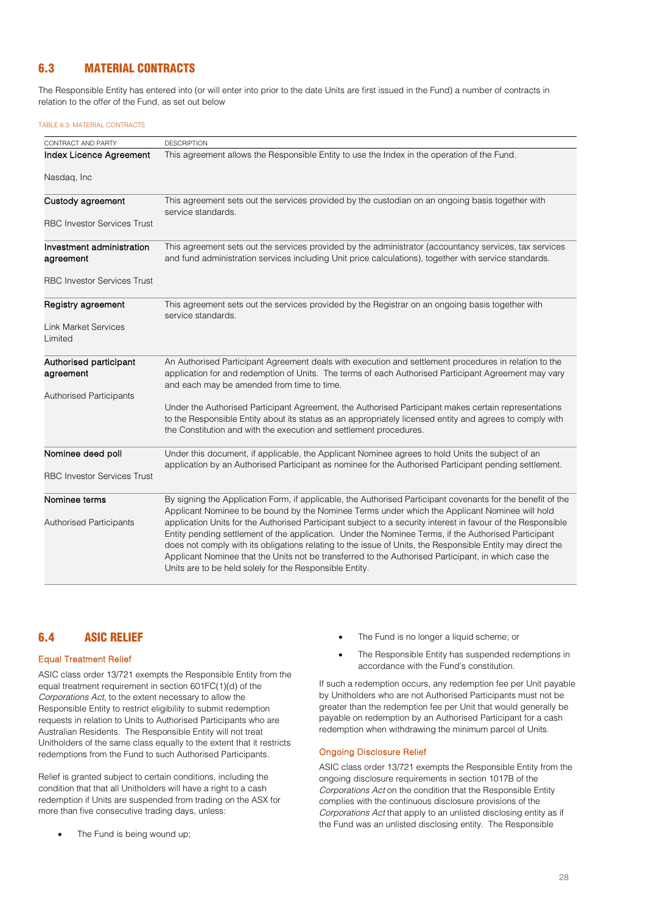# 6.3 MATERIAL CONTRACTS

The Responsible Entity has entered into (or will enter into prior to the date Units are first issued in the Fund) a number of contracts in relation to the offer of the Fund, as set out below

#### TABLE 6.3: MATERIAL CONTRACTS

| CONTRACT AND PARTY                 | <b>DESCRIPTION</b>                                                                                                                                                             |
|------------------------------------|--------------------------------------------------------------------------------------------------------------------------------------------------------------------------------|
| Index Licence Agreement            | This agreement allows the Responsible Entity to use the Index in the operation of the Fund.                                                                                    |
|                                    |                                                                                                                                                                                |
| Nasdag, Inc                        |                                                                                                                                                                                |
|                                    |                                                                                                                                                                                |
| Custody agreement                  | This agreement sets out the services provided by the custodian on an ongoing basis together with                                                                               |
|                                    | service standards.                                                                                                                                                             |
| <b>RBC Investor Services Trust</b> |                                                                                                                                                                                |
|                                    |                                                                                                                                                                                |
| Investment administration          | This agreement sets out the services provided by the administrator (accountancy services, tax services                                                                         |
| agreement                          | and fund administration services including Unit price calculations), together with service standards.                                                                          |
| <b>RBC Investor Services Trust</b> |                                                                                                                                                                                |
|                                    |                                                                                                                                                                                |
| Registry agreement                 | This agreement sets out the services provided by the Registrar on an ongoing basis together with                                                                               |
|                                    | service standards.                                                                                                                                                             |
| <b>Link Market Services</b>        |                                                                                                                                                                                |
| Limited                            |                                                                                                                                                                                |
|                                    |                                                                                                                                                                                |
| Authorised participant             | An Authorised Participant Agreement deals with execution and settlement procedures in relation to the                                                                          |
| agreement                          | application for and redemption of Units. The terms of each Authorised Participant Agreement may vary                                                                           |
|                                    | and each may be amended from time to time.                                                                                                                                     |
| <b>Authorised Participants</b>     |                                                                                                                                                                                |
|                                    | Under the Authorised Participant Agreement, the Authorised Participant makes certain representations                                                                           |
|                                    | to the Responsible Entity about its status as an appropriately licensed entity and agrees to comply with<br>the Constitution and with the execution and settlement procedures. |
|                                    |                                                                                                                                                                                |
| Nominee deed poll                  | Under this document, if applicable, the Applicant Nominee agrees to hold Units the subject of an                                                                               |
|                                    | application by an Authorised Participant as nominee for the Authorised Participant pending settlement.                                                                         |
| <b>RBC Investor Services Trust</b> |                                                                                                                                                                                |
|                                    |                                                                                                                                                                                |
| Nominee terms                      | By signing the Application Form, if applicable, the Authorised Participant covenants for the benefit of the                                                                    |
|                                    | Applicant Nominee to be bound by the Nominee Terms under which the Applicant Nominee will hold                                                                                 |
| <b>Authorised Participants</b>     | application Units for the Authorised Participant subject to a security interest in favour of the Responsible                                                                   |
|                                    | Entity pending settlement of the application. Under the Nominee Terms, if the Authorised Participant                                                                           |
|                                    | does not comply with its obligations relating to the issue of Units, the Responsible Entity may direct the                                                                     |
|                                    | Applicant Nominee that the Units not be transferred to the Authorised Participant, in which case the<br>Units are to be held solely for the Responsible Entity.                |
|                                    |                                                                                                                                                                                |

# 6.4 ASIC RELIEF

## Equal Treatment Relief

ASIC class order 13/721 exempts the Responsible Entity from the equal treatment requirement in section 601FC(1)(d) of the *Corporations Act*, to the extent necessary to allow the Responsible Entity to restrict eligibility to submit redemption requests in relation to Units to Authorised Participants who are Australian Residents. The Responsible Entity will not treat Unitholders of the same class equally to the extent that it restricts redemptions from the Fund to such Authorised Participants.

Relief is granted subject to certain conditions, including the condition that that all Unitholders will have a right to a cash redemption if Units are suspended from trading on the ASX for more than five consecutive trading days, unless:

The Fund is being wound up;

- The Fund is no longer a liquid scheme; or
- The Responsible Entity has suspended redemptions in accordance with the Fund's constitution.

If such a redemption occurs, any redemption fee per Unit payable by Unitholders who are not Authorised Participants must not be greater than the redemption fee per Unit that would generally be payable on redemption by an Authorised Participant for a cash redemption when withdrawing the minimum parcel of Units.

### Ongoing Disclosure Relief

ASIC class order 13/721 exempts the Responsible Entity from the ongoing disclosure requirements in section 1017B of the *Corporations Act* on the condition that the Responsible Entity complies with the continuous disclosure provisions of the *Corporations Act* that apply to an unlisted disclosing entity as if the Fund was an unlisted disclosing entity. The Responsible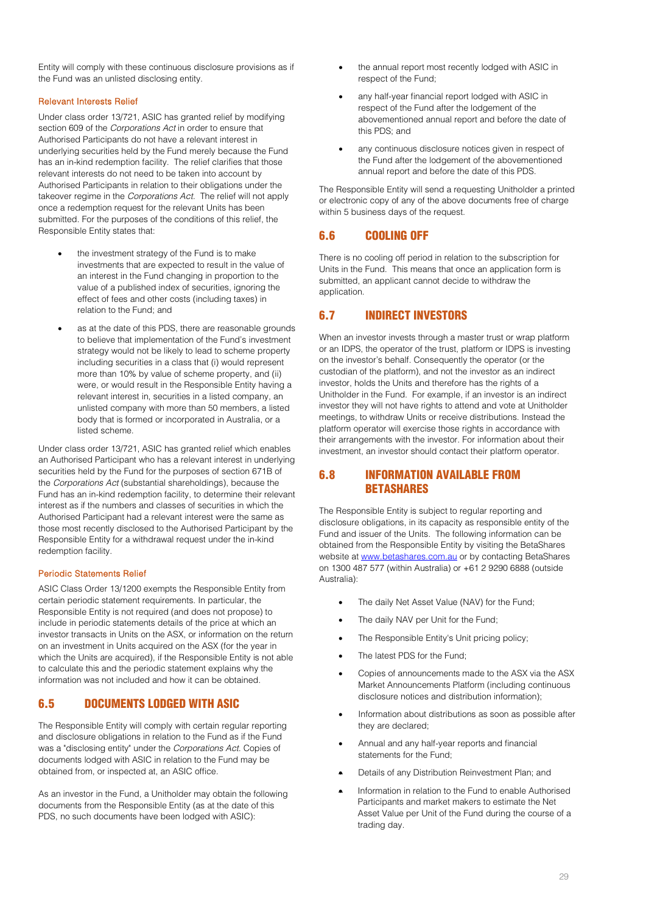Entity will comply with these continuous disclosure provisions as if the Fund was an unlisted disclosing entity.

## Relevant Interests Relief

Under class order 13/721, ASIC has granted relief by modifying section 609 of the *Corporations Act* in order to ensure that Authorised Participants do not have a relevant interest in underlying securities held by the Fund merely because the Fund has an in-kind redemption facility. The relief clarifies that those relevant interests do not need to be taken into account by Authorised Participants in relation to their obligations under the takeover regime in the *Corporations Act.* The relief will not apply once a redemption request for the relevant Units has been submitted. For the purposes of the conditions of this relief, the Responsible Entity states that:

- the investment strategy of the Fund is to make investments that are expected to result in the value of an interest in the Fund changing in proportion to the value of a published index of securities, ignoring the effect of fees and other costs (including taxes) in relation to the Fund; and
- as at the date of this PDS, there are reasonable grounds to believe that implementation of the Fund's investment strategy would not be likely to lead to scheme property including securities in a class that (i) would represent more than 10% by value of scheme property, and (ii) were, or would result in the Responsible Entity having a relevant interest in, securities in a listed company, an unlisted company with more than 50 members, a listed body that is formed or incorporated in Australia, or a listed scheme.

Under class order 13/721, ASIC has granted relief which enables an Authorised Participant who has a relevant interest in underlying securities held by the Fund for the purposes of section 671B of the *Corporations Act* (substantial shareholdings), because the Fund has an in-kind redemption facility, to determine their relevant interest as if the numbers and classes of securities in which the Authorised Participant had a relevant interest were the same as those most recently disclosed to the Authorised Participant by the Responsible Entity for a withdrawal request under the in-kind redemption facility.

# Periodic Statements Relief

ASIC Class Order 13/1200 exempts the Responsible Entity from certain periodic statement requirements. In particular, the Responsible Entity is not required (and does not propose) to include in periodic statements details of the price at which an investor transacts in Units on the ASX, or information on the return on an investment in Units acquired on the ASX (for the year in which the Units are acquired), if the Responsible Entity is not able to calculate this and the periodic statement explains why the information was not included and how it can be obtained.

# 6.5 DOCUMENTS LODGED WITH ASIC

The Responsible Entity will comply with certain regular reporting and disclosure obligations in relation to the Fund as if the Fund was a "disclosing entity" under the *Corporations Act*. Copies of documents lodged with ASIC in relation to the Fund may be obtained from, or inspected at, an ASIC office.

As an investor in the Fund, a Unitholder may obtain the following documents from the Responsible Entity (as at the date of this PDS, no such documents have been lodged with ASIC):

- the annual report most recently lodged with ASIC in respect of the Fund;
- any half-year financial report lodged with ASIC in respect of the Fund after the lodgement of the abovementioned annual report and before the date of this PDS; and
- any continuous disclosure notices given in respect of the Fund after the lodgement of the abovementioned annual report and before the date of this PDS.

The Responsible Entity will send a requesting Unitholder a printed or electronic copy of any of the above documents free of charge within 5 business days of the request.

# 6.6 COOLING OFF

There is no cooling off period in relation to the subscription for Units in the Fund. This means that once an application form is submitted, an applicant cannot decide to withdraw the application.

# 6.7 INDIRECT INVESTORS

When an investor invests through a master trust or wrap platform or an IDPS, the operator of the trust, platform or IDPS is investing on the investor's behalf. Consequently the operator (or the custodian of the platform), and not the investor as an indirect investor, holds the Units and therefore has the rights of a Unitholder in the Fund. For example, if an investor is an indirect investor they will not have rights to attend and vote at Unitholder meetings, to withdraw Units or receive distributions. Instead the platform operator will exercise those rights in accordance with their arrangements with the investor. For information about their investment, an investor should contact their platform operator.

# 6.8 INFORMATION AVAILABLE FROM BETASHARES

The Responsible Entity is subject to regular reporting and disclosure obligations, in its capacity as responsible entity of the Fund and issuer of the Units. The following information can be obtained from the Responsible Entity by visiting the BetaShares website at [www.betashares.com.au](http://www.betashares.com.au/) or by contacting BetaShares on 1300 487 577 (within Australia) or +61 2 9290 6888 (outside Australia):

- The daily Net Asset Value (NAV) for the Fund;
- The daily NAV per Unit for the Fund;
- The Responsible Entity's Unit pricing policy;
- The latest PDS for the Fund:
- Copies of announcements made to the ASX via the ASX Market Announcements Platform (including continuous disclosure notices and distribution information);
- Information about distributions as soon as possible after they are declared;
- Annual and any half-year reports and financial statements for the Fund;
- Details of any Distribution Reinvestment Plan; and
- Information in relation to the Fund to enable Authorised Participants and market makers to estimate the Net Asset Value per Unit of the Fund during the course of a trading day.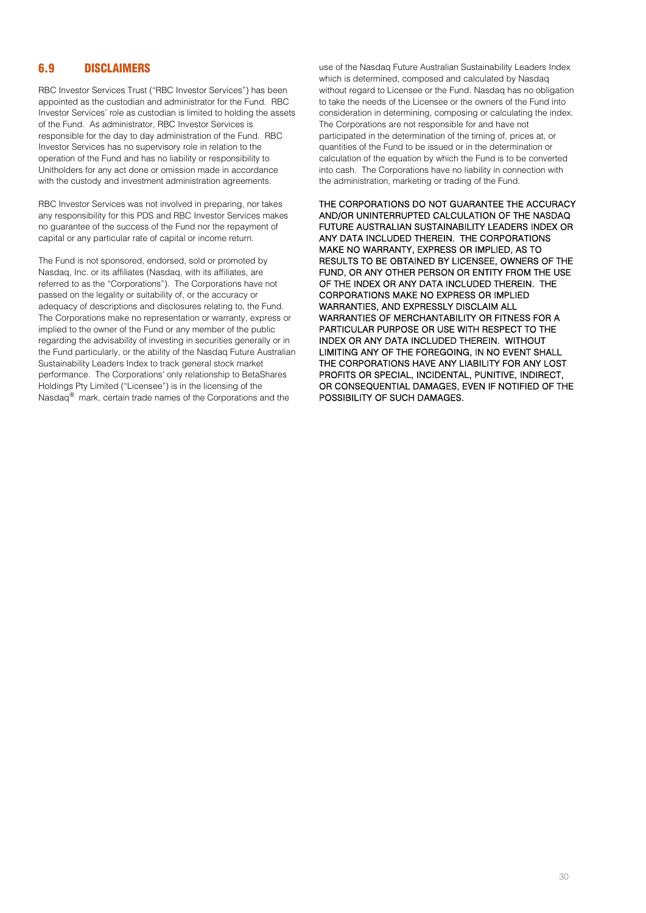# 6.9 DISCLAIMERS

RBC Investor Services Trust ("RBC Investor Services") has been appointed as the custodian and administrator for the Fund. RBC Investor Services' role as custodian is limited to holding the assets of the Fund. As administrator, RBC Investor Services is responsible for the day to day administration of the Fund. RBC Investor Services has no supervisory role in relation to the operation of the Fund and has no liability or responsibility to Unitholders for any act done or omission made in accordance with the custody and investment administration agreements.

RBC Investor Services was not involved in preparing, nor takes any responsibility for this PDS and RBC Investor Services makes no guarantee of the success of the Fund nor the repayment of capital or any particular rate of capital or income return.

The Fund is not sponsored, endorsed, sold or promoted by Nasdaq, Inc. or its affiliates (Nasdaq, with its affiliates, are referred to as the "Corporations"). The Corporations have not passed on the legality or suitability of, or the accuracy or adequacy of descriptions and disclosures relating to, the Fund. The Corporations make no representation or warranty, express or implied to the owner of the Fund or any member of the public regarding the advisability of investing in securities generally or in the Fund particularly, or the ability of the Nasdaq Future Australian Sustainability Leaders Index to track general stock market performance. The Corporations' only relationship to BetaShares Holdings Pty Limited ("Licensee") is in the licensing of the Nasdaq® mark, certain trade names of the Corporations and the

use of the Nasdaq Future Australian Sustainability Leaders Index which is determined, composed and calculated by Nasdaq without regard to Licensee or the Fund. Nasdaq has no obligation to take the needs of the Licensee or the owners of the Fund into consideration in determining, composing or calculating the index. The Corporations are not responsible for and have not participated in the determination of the timing of, prices at, or quantities of the Fund to be issued or in the determination or calculation of the equation by which the Fund is to be converted into cash. The Corporations have no liability in connection with the administration, marketing or trading of the Fund.

THE CORPORATIONS DO NOT GUARANTEE THE ACCURACY AND/OR UNINTERRUPTED CALCULATION OF THE NASDAQ FUTURE AUSTRALIAN SUSTAINABILITY LEADERS INDEX OR ANY DATA INCLUDED THEREIN. THE CORPORATIONS MAKE NO WARRANTY, EXPRESS OR IMPLIED, AS TO RESULTS TO BE OBTAINED BY LICENSEE, OWNERS OF THE FUND, OR ANY OTHER PERSON OR ENTITY FROM THE USE OF THE INDEX OR ANY DATA INCLUDED THEREIN. THE CORPORATIONS MAKE NO EXPRESS OR IMPLIED WARRANTIES, AND EXPRESSLY DISCLAIM ALL WARRANTIES OF MERCHANTABILITY OR FITNESS FOR A PARTICULAR PURPOSE OR USE WITH RESPECT TO THE INDEX OR ANY DATA INCLUDED THEREIN. WITHOUT LIMITING ANY OF THE FOREGOING, IN NO EVENT SHALL THE CORPORATIONS HAVE ANY LIABILITY FOR ANY LOST PROFITS OR SPECIAL, INCIDENTAL, PUNITIVE, INDIRECT, OR CONSEQUENTIAL DAMAGES, EVEN IF NOTIFIED OF THE POSSIBILITY OF SUCH DAMAGES.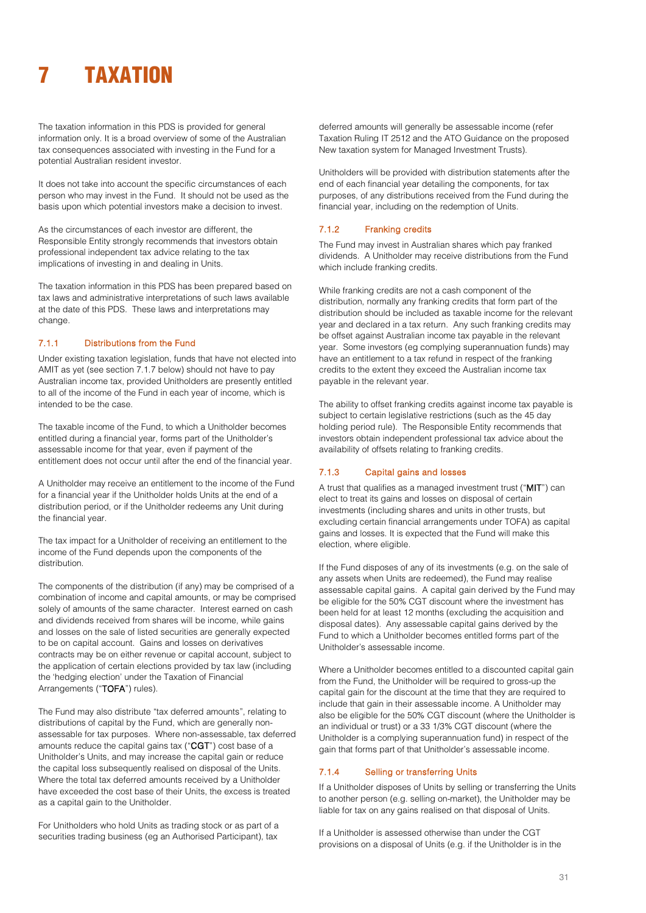# <span id="page-30-0"></span>7 TAXATION

The taxation information in this PDS is provided for general information only. It is a broad overview of some of the Australian tax consequences associated with investing in the Fund for a potential Australian resident investor.

It does not take into account the specific circumstances of each person who may invest in the Fund. It should not be used as the basis upon which potential investors make a decision to invest.

As the circumstances of each investor are different, the Responsible Entity strongly recommends that investors obtain professional independent tax advice relating to the tax implications of investing in and dealing in Units.

The taxation information in this PDS has been prepared based on tax laws and administrative interpretations of such laws available at the date of this PDS. These laws and interpretations may change.

#### 7.1.1 Distributions from the Fund

Under existing taxation legislation, funds that have not elected into AMIT as yet (see section 7.1.7 below) should not have to pay Australian income tax, provided Unitholders are presently entitled to all of the income of the Fund in each year of income, which is intended to be the case.

The taxable income of the Fund, to which a Unitholder becomes entitled during a financial year, forms part of the Unitholder's assessable income for that year, even if payment of the entitlement does not occur until after the end of the financial year.

A Unitholder may receive an entitlement to the income of the Fund for a financial year if the Unitholder holds Units at the end of a distribution period, or if the Unitholder redeems any Unit during the financial year.

The tax impact for a Unitholder of receiving an entitlement to the income of the Fund depends upon the components of the distribution.

The components of the distribution (if any) may be comprised of a combination of income and capital amounts, or may be comprised solely of amounts of the same character. Interest earned on cash and dividends received from shares will be income, while gains and losses on the sale of listed securities are generally expected to be on capital account. Gains and losses on derivatives contracts may be on either revenue or capital account, subject to the application of certain elections provided by tax law (including the 'hedging election' under the Taxation of Financial Arrangements ("TOFA") rules).

The Fund may also distribute "tax deferred amounts", relating to distributions of capital by the Fund, which are generally nonassessable for tax purposes. Where non-assessable, tax deferred amounts reduce the capital gains tax ("CGT") cost base of a Unitholder's Units, and may increase the capital gain or reduce the capital loss subsequently realised on disposal of the Units. Where the total tax deferred amounts received by a Unitholder have exceeded the cost base of their Units, the excess is treated as a capital gain to the Unitholder.

For Unitholders who hold Units as trading stock or as part of a securities trading business (eg an Authorised Participant), tax

deferred amounts will generally be assessable income (refer Taxation Ruling IT 2512 and the ATO Guidance on the proposed New taxation system for Managed Investment Trusts).

Unitholders will be provided with distribution statements after the end of each financial year detailing the components, for tax purposes, of any distributions received from the Fund during the financial year, including on the redemption of Units.

### 7.1.2 Franking credits

The Fund may invest in Australian shares which pay franked dividends. A Unitholder may receive distributions from the Fund which include franking credits.

While franking credits are not a cash component of the distribution, normally any franking credits that form part of the distribution should be included as taxable income for the relevant year and declared in a tax return. Any such franking credits may be offset against Australian income tax payable in the relevant year. Some investors (eg complying superannuation funds) may have an entitlement to a tax refund in respect of the franking credits to the extent they exceed the Australian income tax payable in the relevant year.

The ability to offset franking credits against income tax payable is subject to certain legislative restrictions (such as the 45 day holding period rule). The Responsible Entity recommends that investors obtain independent professional tax advice about the availability of offsets relating to franking credits.

## 7.1.3 Capital gains and losses

A trust that qualifies as a managed investment trust ("MIT") can elect to treat its gains and losses on disposal of certain investments (including shares and units in other trusts, but excluding certain financial arrangements under TOFA) as capital gains and losses. It is expected that the Fund will make this election, where eligible.

If the Fund disposes of any of its investments (e.g. on the sale of any assets when Units are redeemed), the Fund may realise assessable capital gains. A capital gain derived by the Fund may be eligible for the 50% CGT discount where the investment has been held for at least 12 months (excluding the acquisition and disposal dates). Any assessable capital gains derived by the Fund to which a Unitholder becomes entitled forms part of the Unitholder's assessable income.

Where a Unitholder becomes entitled to a discounted capital gain from the Fund, the Unitholder will be required to gross-up the capital gain for the discount at the time that they are required to include that gain in their assessable income. A Unitholder may also be eligible for the 50% CGT discount (where the Unitholder is an individual or trust) or a 33 1/3% CGT discount (where the Unitholder is a complying superannuation fund) in respect of the gain that forms part of that Unitholder's assessable income.

## 7.1.4 Selling or transferring Units

If a Unitholder disposes of Units by selling or transferring the Units to another person (e.g. selling on-market), the Unitholder may be liable for tax on any gains realised on that disposal of Units.

If a Unitholder is assessed otherwise than under the CGT provisions on a disposal of Units (e.g. if the Unitholder is in the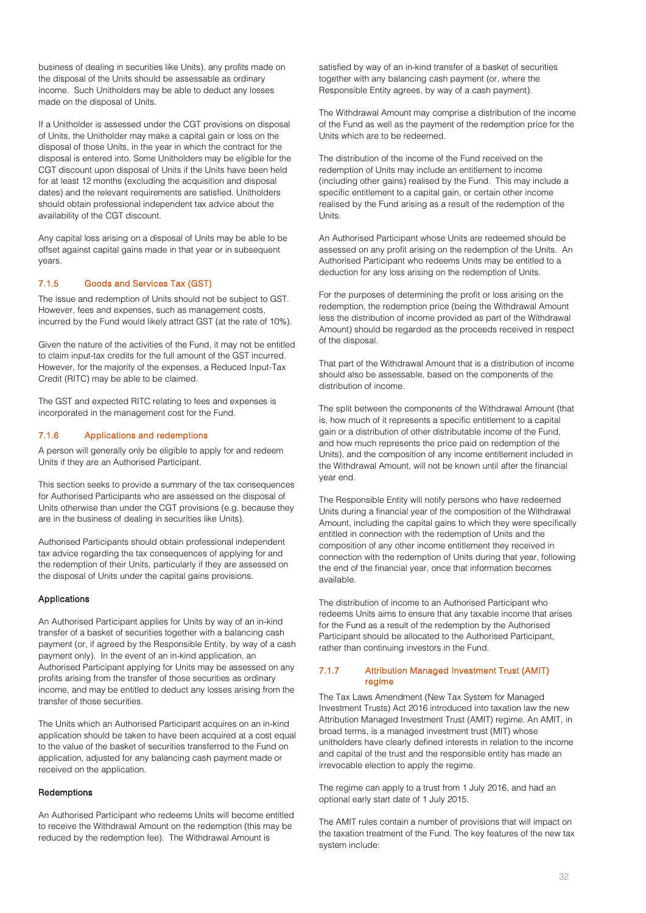business of dealing in securities like Units), any profits made on the disposal of the Units should be assessable as ordinary income. Such Unitholders may be able to deduct any losses made on the disposal of Units.

If a Unitholder is assessed under the CGT provisions on disposal of Units, the Unitholder may make a capital gain or loss on the disposal of those Units, in the year in which the contract for the disposal is entered into. Some Unitholders may be eligible for the CGT discount upon disposal of Units if the Units have been held for at least 12 months (excluding the acquisition and disposal dates) and the relevant requirements are satisfied. Unitholders should obtain professional independent tax advice about the availability of the CGT discount.

Any capital loss arising on a disposal of Units may be able to be offset against capital gains made in that year or in subsequent years.

# 7.1.5 Goods and Services Tax (GST)

The issue and redemption of Units should not be subject to GST. However, fees and expenses, such as management costs, incurred by the Fund would likely attract GST (at the rate of 10%).

Given the nature of the activities of the Fund, it may not be entitled to claim input-tax credits for the full amount of the GST incurred. However, for the majority of the expenses, a Reduced Input-Tax Credit (RITC) may be able to be claimed.

The GST and expected RITC relating to fees and expenses is incorporated in the management cost for the Fund.

## 7.1.6 Applications and redemptions

A person will generally only be eligible to apply for and redeem Units if they are an Authorised Participant.

This section seeks to provide a summary of the tax consequences for Authorised Participants who are assessed on the disposal of Units otherwise than under the CGT provisions (e.g. because they are in the business of dealing in securities like Units).

Authorised Participants should obtain professional independent tax advice regarding the tax consequences of applying for and the redemption of their Units, particularly if they are assessed on the disposal of Units under the capital gains provisions.

## Applications

An Authorised Participant applies for Units by way of an in-kind transfer of a basket of securities together with a balancing cash payment (or, if agreed by the Responsible Entity, by way of a cash payment only). In the event of an in-kind application, an Authorised Participant applying for Units may be assessed on any profits arising from the transfer of those securities as ordinary income, and may be entitled to deduct any losses arising from the transfer of those securities.

The Units which an Authorised Participant acquires on an in-kind application should be taken to have been acquired at a cost equal to the value of the basket of securities transferred to the Fund on application, adjusted for any balancing cash payment made or received on the application.

## Redemptions

An Authorised Participant who redeems Units will become entitled to receive the Withdrawal Amount on the redemption (this may be reduced by the redemption fee). The Withdrawal Amount is

satisfied by way of an in-kind transfer of a basket of securities together with any balancing cash payment (or, where the Responsible Entity agrees, by way of a cash payment).

The Withdrawal Amount may comprise a distribution of the income of the Fund as well as the payment of the redemption price for the Units which are to be redeemed.

The distribution of the income of the Fund received on the redemption of Units may include an entitlement to income (including other gains) realised by the Fund. This may include a specific entitlement to a capital gain, or certain other income realised by the Fund arising as a result of the redemption of the **Units** 

An Authorised Participant whose Units are redeemed should be assessed on any profit arising on the redemption of the Units. An Authorised Participant who redeems Units may be entitled to a deduction for any loss arising on the redemption of Units.

For the purposes of determining the profit or loss arising on the redemption, the redemption price (being the Withdrawal Amount less the distribution of income provided as part of the Withdrawal Amount) should be regarded as the proceeds received in respect of the disposal.

That part of the Withdrawal Amount that is a distribution of income should also be assessable, based on the components of the distribution of income.

The split between the components of the Withdrawal Amount (that is, how much of it represents a specific entitlement to a capital gain or a distribution of other distributable income of the Fund, and how much represents the price paid on redemption of the Units), and the composition of any income entitlement included in the Withdrawal Amount, will not be known until after the financial year end.

The Responsible Entity will notify persons who have redeemed Units during a financial year of the composition of the Withdrawal Amount, including the capital gains to which they were specifically entitled in connection with the redemption of Units and the composition of any other income entitlement they received in connection with the redemption of Units during that year, following the end of the financial year, once that information becomes available.

The distribution of income to an Authorised Participant who redeems Units aims to ensure that any taxable income that arises for the Fund as a result of the redemption by the Authorised Participant should be allocated to the Authorised Participant, rather than continuing investors in the Fund.

### 7.1.7 Attribution Managed Investment Trust (AMIT) regime

The Tax Laws Amendment (New Tax System for Managed Investment Trusts) Act 2016 introduced into taxation law the new Attribution Managed Investment Trust (AMIT) regime. An AMIT, in broad terms, is a managed investment trust (MIT) whose unitholders have clearly defined interests in relation to the income and capital of the trust and the responsible entity has made an irrevocable election to apply the regime.

The regime can apply to a trust from 1 July 2016, and had an optional early start date of 1 July 2015.

The AMIT rules contain a number of provisions that will impact on the taxation treatment of the Fund. The key features of the new tax system include: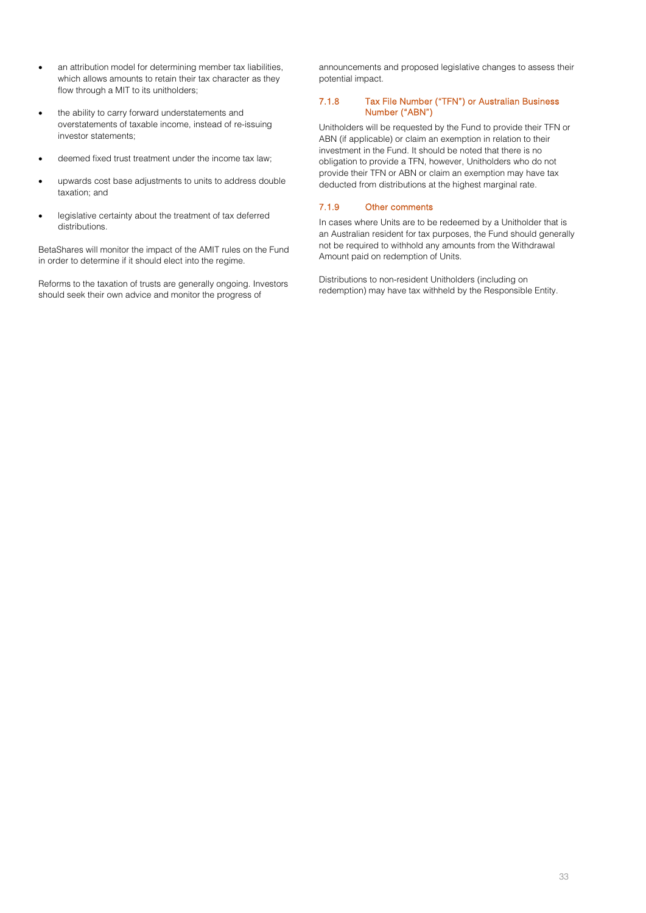- an attribution model for determining member tax liabilities, which allows amounts to retain their tax character as they flow through a MIT to its unitholders;
- the ability to carry forward understatements and overstatements of taxable income, instead of re-issuing investor statements;
- deemed fixed trust treatment under the income tax law;
- upwards cost base adjustments to units to address double taxation; and
- legislative certainty about the treatment of tax deferred distributions.

BetaShares will monitor the impact of the AMIT rules on the Fund in order to determine if it should elect into the regime.

Reforms to the taxation of trusts are generally ongoing. Investors should seek their own advice and monitor the progress of

announcements and proposed legislative changes to assess their potential impact.

## 7.1.8 Tax File Number ("TFN") or Australian Business Number ("ABN")

Unitholders will be requested by the Fund to provide their TFN or ABN (if applicable) or claim an exemption in relation to their investment in the Fund. It should be noted that there is no obligation to provide a TFN, however, Unitholders who do not provide their TFN or ABN or claim an exemption may have tax deducted from distributions at the highest marginal rate.

# 7.1.9 Other comments

In cases where Units are to be redeemed by a Unitholder that is an Australian resident for tax purposes, the Fund should generally not be required to withhold any amounts from the Withdrawal Amount paid on redemption of Units.

Distributions to non-resident Unitholders (including on redemption) may have tax withheld by the Responsible Entity.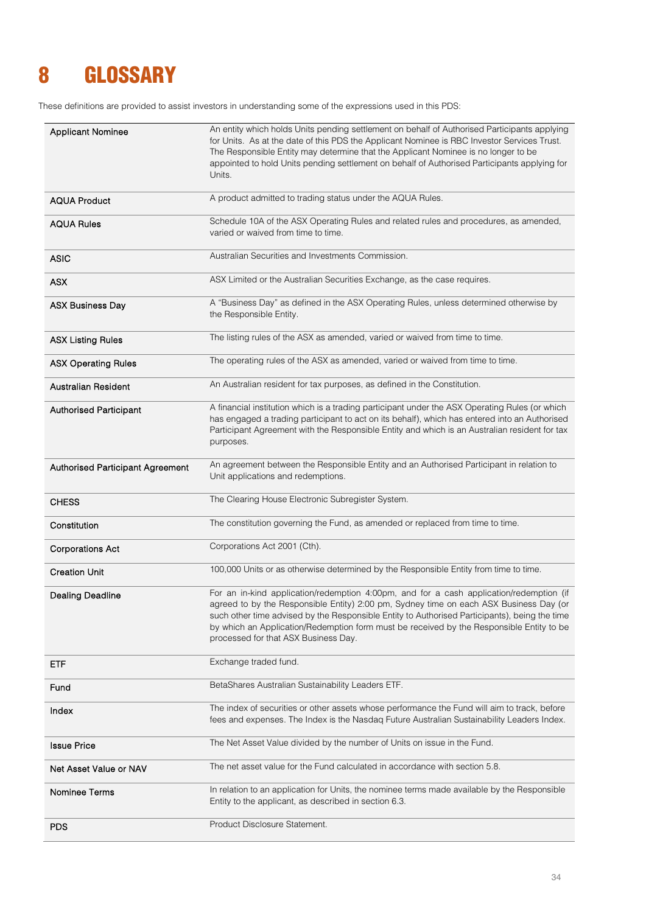# <span id="page-33-0"></span>8 GLOSSARY

These definitions are provided to assist investors in understanding some of the expressions used in this PDS:

| <b>Applicant Nominee</b>         | An entity which holds Units pending settlement on behalf of Authorised Participants applying<br>for Units. As at the date of this PDS the Applicant Nominee is RBC Investor Services Trust.<br>The Responsible Entity may determine that the Applicant Nominee is no longer to be<br>appointed to hold Units pending settlement on behalf of Authorised Participants applying for<br>Units.                            |  |
|----------------------------------|------------------------------------------------------------------------------------------------------------------------------------------------------------------------------------------------------------------------------------------------------------------------------------------------------------------------------------------------------------------------------------------------------------------------|--|
| <b>AQUA Product</b>              | A product admitted to trading status under the AQUA Rules.                                                                                                                                                                                                                                                                                                                                                             |  |
| <b>AQUA Rules</b>                | Schedule 10A of the ASX Operating Rules and related rules and procedures, as amended,<br>varied or waived from time to time.                                                                                                                                                                                                                                                                                           |  |
| <b>ASIC</b>                      | Australian Securities and Investments Commission.                                                                                                                                                                                                                                                                                                                                                                      |  |
| <b>ASX</b>                       | ASX Limited or the Australian Securities Exchange, as the case requires.                                                                                                                                                                                                                                                                                                                                               |  |
| <b>ASX Business Day</b>          | A "Business Day" as defined in the ASX Operating Rules, unless determined otherwise by<br>the Responsible Entity.                                                                                                                                                                                                                                                                                                      |  |
| <b>ASX Listing Rules</b>         | The listing rules of the ASX as amended, varied or waived from time to time.                                                                                                                                                                                                                                                                                                                                           |  |
| <b>ASX Operating Rules</b>       | The operating rules of the ASX as amended, varied or waived from time to time.                                                                                                                                                                                                                                                                                                                                         |  |
| <b>Australian Resident</b>       | An Australian resident for tax purposes, as defined in the Constitution.                                                                                                                                                                                                                                                                                                                                               |  |
| <b>Authorised Participant</b>    | A financial institution which is a trading participant under the ASX Operating Rules (or which<br>has engaged a trading participant to act on its behalf), which has entered into an Authorised<br>Participant Agreement with the Responsible Entity and which is an Australian resident for tax<br>purposes.                                                                                                          |  |
| Authorised Participant Agreement | An agreement between the Responsible Entity and an Authorised Participant in relation to<br>Unit applications and redemptions.                                                                                                                                                                                                                                                                                         |  |
| <b>CHESS</b>                     | The Clearing House Electronic Subregister System.                                                                                                                                                                                                                                                                                                                                                                      |  |
| Constitution                     | The constitution governing the Fund, as amended or replaced from time to time.                                                                                                                                                                                                                                                                                                                                         |  |
| <b>Corporations Act</b>          | Corporations Act 2001 (Cth).                                                                                                                                                                                                                                                                                                                                                                                           |  |
| <b>Creation Unit</b>             | 100,000 Units or as otherwise determined by the Responsible Entity from time to time.                                                                                                                                                                                                                                                                                                                                  |  |
| <b>Dealing Deadline</b>          | For an in-kind application/redemption 4:00pm, and for a cash application/redemption (if<br>agreed to by the Responsible Entity) 2:00 pm, Sydney time on each ASX Business Day (or<br>such other time advised by the Responsible Entity to Authorised Participants), being the time<br>by which an Application/Redemption form must be received by the Responsible Entity to be<br>processed for that ASX Business Day. |  |
| ETF                              | Exchange traded fund.                                                                                                                                                                                                                                                                                                                                                                                                  |  |
| Fund                             | BetaShares Australian Sustainability Leaders ETF.                                                                                                                                                                                                                                                                                                                                                                      |  |
| Index                            | The index of securities or other assets whose performance the Fund will aim to track, before<br>fees and expenses. The Index is the Nasdaq Future Australian Sustainability Leaders Index.                                                                                                                                                                                                                             |  |
| <b>Issue Price</b>               | The Net Asset Value divided by the number of Units on issue in the Fund.                                                                                                                                                                                                                                                                                                                                               |  |
| Net Asset Value or NAV           | The net asset value for the Fund calculated in accordance with section 5.8.                                                                                                                                                                                                                                                                                                                                            |  |
| Nominee Terms                    | In relation to an application for Units, the nominee terms made available by the Responsible<br>Entity to the applicant, as described in section 6.3.                                                                                                                                                                                                                                                                  |  |
| <b>PDS</b>                       | Product Disclosure Statement.                                                                                                                                                                                                                                                                                                                                                                                          |  |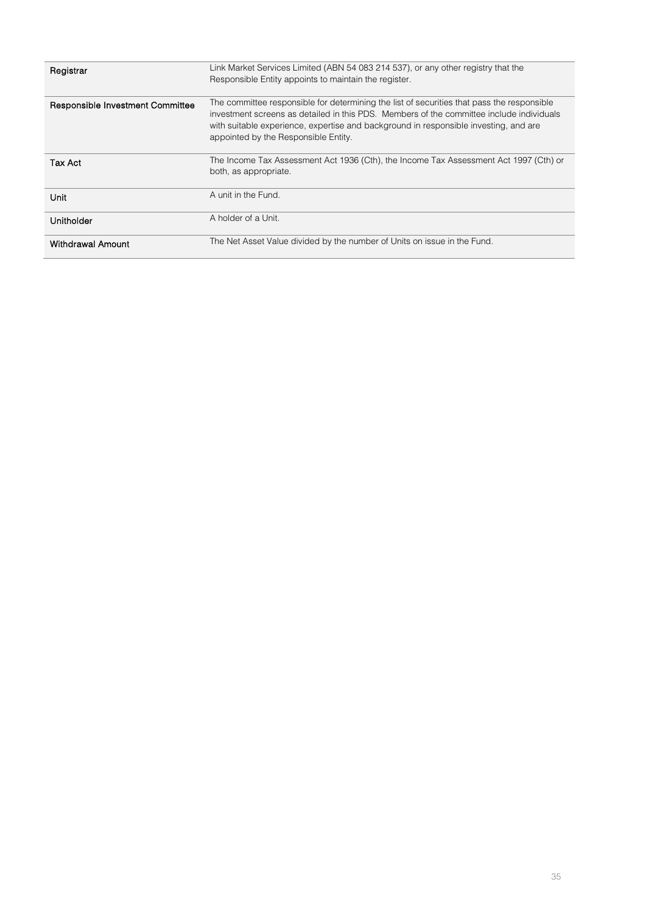| Registrar                        | Link Market Services Limited (ABN 54 083 214 537), or any other registry that the<br>Responsible Entity appoints to maintain the register.                                                                                                                                                                             |
|----------------------------------|------------------------------------------------------------------------------------------------------------------------------------------------------------------------------------------------------------------------------------------------------------------------------------------------------------------------|
| Responsible Investment Committee | The committee responsible for determining the list of securities that pass the responsible<br>investment screens as detailed in this PDS. Members of the committee include individuals<br>with suitable experience, expertise and background in responsible investing, and are<br>appointed by the Responsible Entity. |
| Tax Act                          | The Income Tax Assessment Act 1936 (Cth), the Income Tax Assessment Act 1997 (Cth) or<br>both, as appropriate.                                                                                                                                                                                                         |
| Unit                             | A unit in the Fund.                                                                                                                                                                                                                                                                                                    |
| Unitholder                       | A holder of a Unit.                                                                                                                                                                                                                                                                                                    |
| Withdrawal Amount                | The Net Asset Value divided by the number of Units on issue in the Fund.                                                                                                                                                                                                                                               |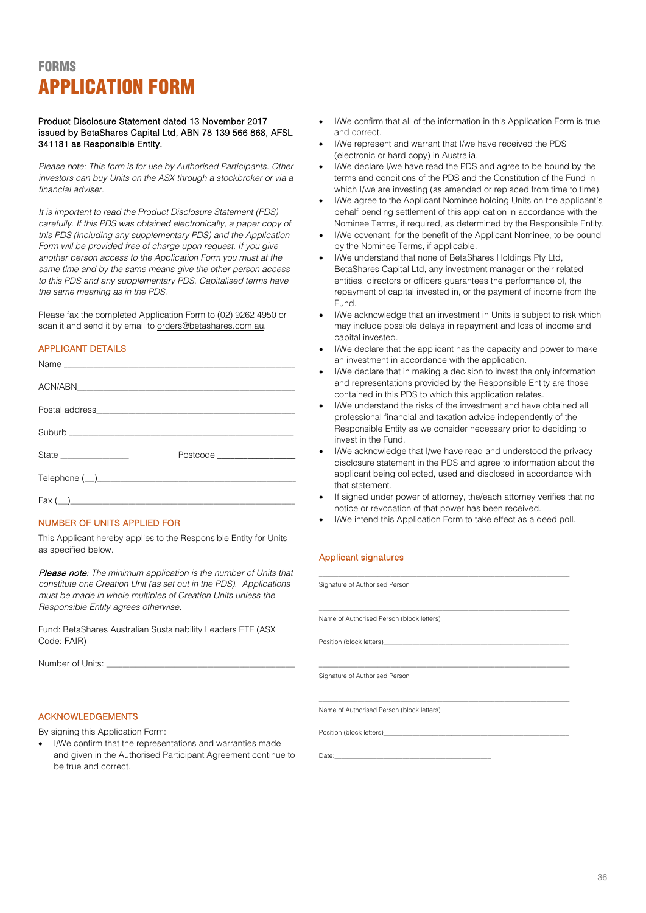# <span id="page-35-0"></span>**FORMS** APPLICATION FORM

## Product Disclosure Statement dated 13 November 2017 issued by BetaShares Capital Ltd, ABN 78 139 566 868, AFSL 341181 as Responsible Entity.

*Please note: This form is for use by Authorised Participants. Other investors can buy Units on the ASX through a stockbroker or via a financial adviser.* 

*It is important to read the Product Disclosure Statement (PDS) carefully. If this PDS was obtained electronically, a paper copy of this PDS (including any supplementary PDS) and the Application Form will be provided free of charge upon request. If you give another person access to the Application Form you must at the same time and by the same means give the other person access to this PDS and any supplementary PDS. Capitalised terms have the same meaning as in the PDS.*

Please fax the completed Application Form to (02) 9262 4950 or scan it and send it by email to orders@betashares.com.au.

## APPLICANT DETAILS

|                                                                                                                                                                                                                                                                                   | Postcode ___________________ |
|-----------------------------------------------------------------------------------------------------------------------------------------------------------------------------------------------------------------------------------------------------------------------------------|------------------------------|
|                                                                                                                                                                                                                                                                                   |                              |
| $\text{Fax}$ ( _) and $\text{Fax}$ ( _) and $\text{Fax}$ ( _) and $\text{Fax}$ ( _) and $\text{Fax}$ ( _) and $\text{Fax}$ ( _) and $\text{Fax}$ ( _) and $\text{Fax}$ ( _) and $\text{Fax}$ ( _) and $\text{Fax}$ ( _) and $\text{Fax}$ ( _) and $\text{Fax}$ ( _) and $\text{F$ |                              |

# NUMBER OF UNITS APPLIED FOR

This Applicant hereby applies to the Responsible Entity for Units as specified below.

Please note*: The minimum application is the number of Units that constitute one Creation Unit (as set out in the PDS). Applications must be made in whole multiples of Creation Units unless the Responsible Entity agrees otherwise.*

Fund: BetaShares Australian Sustainability Leaders ETF (ASX Code: FAIR)

Number of Units:

## ACKNOWLEDGEMENTS

By signing this Application Form:

• I/We confirm that the representations and warranties made and given in the Authorised Participant Agreement continue to be true and correct.

- I/We confirm that all of the information in this Application Form is true and correct.
- I/We represent and warrant that I/we have received the PDS (electronic or hard copy) in Australia.
- I/We declare I/we have read the PDS and agree to be bound by the terms and conditions of the PDS and the Constitution of the Fund in which I/we are investing (as amended or replaced from time to time).
- I/We agree to the Applicant Nominee holding Units on the applicant's behalf pending settlement of this application in accordance with the Nominee Terms, if required, as determined by the Responsible Entity.
- I/We covenant, for the benefit of the Applicant Nominee, to be bound by the Nominee Terms, if applicable.
- I/We understand that none of BetaShares Holdings Pty Ltd, BetaShares Capital Ltd, any investment manager or their related entities, directors or officers guarantees the performance of, the repayment of capital invested in, or the payment of income from the Fund.
- I/We acknowledge that an investment in Units is subject to risk which may include possible delays in repayment and loss of income and capital invested.
- I/We declare that the applicant has the capacity and power to make an investment in accordance with the application.
- I/We declare that in making a decision to invest the only information and representations provided by the Responsible Entity are those contained in this PDS to which this application relates.
- I/We understand the risks of the investment and have obtained all professional financial and taxation advice independently of the Responsible Entity as we consider necessary prior to deciding to invest in the Fund.
- I/We acknowledge that I/we have read and understood the privacy disclosure statement in the PDS and agree to information about the applicant being collected, used and disclosed in accordance with that statement.
- If signed under power of attorney, the/each attorney verifies that no notice or revocation of that power has been received.
- I/We intend this Application Form to take effect as a deed poll.

# Applicant signatures

| Signature of Authorised Person            |  |
|-------------------------------------------|--|
|                                           |  |
| Name of Authorised Person (block letters) |  |
|                                           |  |
|                                           |  |
| Signature of Authorised Person            |  |
|                                           |  |
| Name of Authorised Person (block letters) |  |
|                                           |  |
|                                           |  |

Date:\_\_\_\_\_\_\_\_\_\_\_\_\_\_\_\_\_\_\_\_\_\_\_\_\_\_\_\_\_\_\_\_\_\_\_\_\_\_\_\_\_\_\_\_\_\_\_\_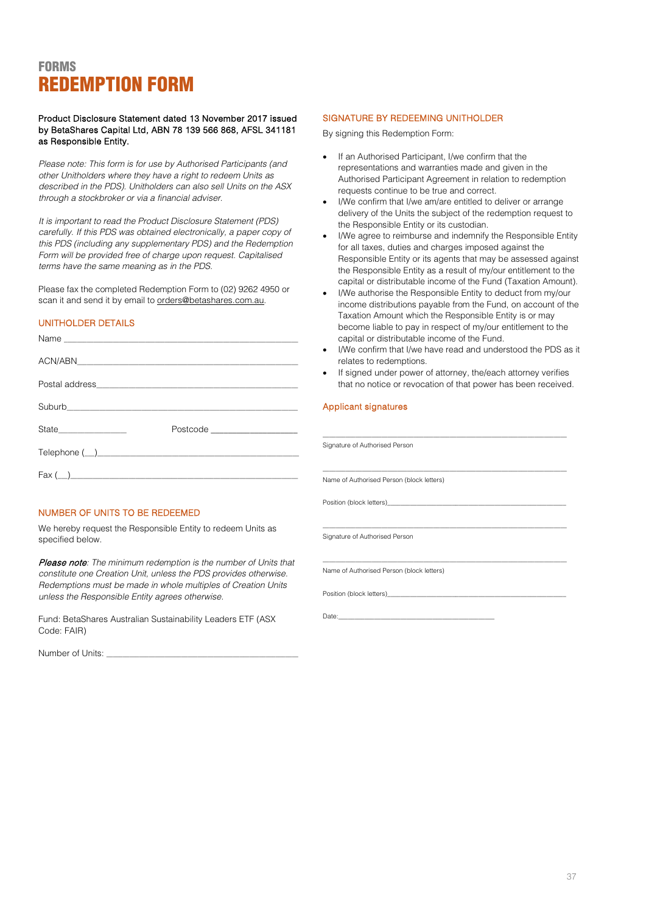# <span id="page-36-0"></span>**FORMS** REDEMPTION FORM

Product Disclosure Statement dated 13 November 2017 issued by BetaShares Capital Ltd, ABN 78 139 566 868, AFSL 341181 as Responsible Entity.

*Please note: This form is for use by Authorised Participants (and other Unitholders where they have a right to redeem Units as described in the PDS). Unitholders can also sell Units on the ASX through a stockbroker or via a financial adviser.* 

*It is important to read the Product Disclosure Statement (PDS) carefully. If this PDS was obtained electronically, a paper copy of this PDS (including any supplementary PDS) and the Redemption Form will be provided free of charge upon request. Capitalised terms have the same meaning as in the PDS.*

Please fax the completed Redemption Form to (02) 9262 4950 or scan it and send it by email to orders@betashares.com.au.

## UNITHOLDER DETAILS

|                                                                                                                                                                                                                                | capital or distributable income of the Fund.<br>I/We confirm that I/we have read and understood the PDS a<br>$\bullet$<br>relates to redemptions.<br>• If signed under power of attorney, the/each attorney verifie<br>that no notice or revocation of that power has been receive |
|--------------------------------------------------------------------------------------------------------------------------------------------------------------------------------------------------------------------------------|------------------------------------------------------------------------------------------------------------------------------------------------------------------------------------------------------------------------------------------------------------------------------------|
| Postal address and the contract of the contract of the contract of the contract of the contract of the contract of the contract of the contract of the contract of the contract of the contract of the contract of the contrac |                                                                                                                                                                                                                                                                                    |
|                                                                                                                                                                                                                                |                                                                                                                                                                                                                                                                                    |
| State_________________<br>Postcode <b>Exercía de Senatoria de Senatoria de Senatoria de Senatoria de Senatoria de Senatoria de Senatoria d</b>                                                                                 |                                                                                                                                                                                                                                                                                    |
|                                                                                                                                                                                                                                | Signature of Authorised Person                                                                                                                                                                                                                                                     |
| $\text{Fax} (\underline{\hspace{1cm}})$                                                                                                                                                                                        | Name of Authorised Person (block letters)                                                                                                                                                                                                                                          |

# NUMBER OF UNITS TO BE REDEEMED

We hereby request the Responsible Entity to redeem Units as specified below.

Please note*: The minimum redemption is the number of Units that constitute one Creation Unit, unless the PDS provides otherwise. Redemptions must be made in whole multiples of Creation Units unless the Responsible Entity agrees otherwise.*

Fund: BetaShares Australian Sustainability Leaders ETF (ASX Code: FAIR)

Number of Units:

## SIGNATURE BY REDEEMING UNITHOLDER

By signing this Redemption Form:

- If an Authorised Participant, I/we confirm that the representations and warranties made and given in the Authorised Participant Agreement in relation to redemption requests continue to be true and correct.
- I/We confirm that I/we am/are entitled to deliver or arrange delivery of the Units the subject of the redemption request to the Responsible Entity or its custodian.
- I/We agree to reimburse and indemnify the Responsible Entity for all taxes, duties and charges imposed against the Responsible Entity or its agents that may be assessed against the Responsible Entity as a result of my/our entitlement to the capital or distributable income of the Fund (Taxation Amount).
- I/We authorise the Responsible Entity to deduct from my/our income distributions payable from the Fund, on account of the Taxation Amount which the Responsible Entity is or may become liable to pay in respect of my/our entitlement to the capital or distributable income of the Fund.
- I/We confirm that I/we have read and understood the PDS as it relates to redemptions.
- If signed under power of attorney, the/each attorney verifies that no notice or revocation of that power has been received.

\_\_\_\_\_\_\_\_\_\_\_\_\_\_\_\_\_\_\_\_\_\_\_\_\_\_\_\_\_\_\_\_\_\_\_\_\_\_\_\_\_\_\_\_\_\_\_\_\_\_\_\_\_\_\_\_\_\_\_\_\_\_\_\_\_\_\_\_\_\_\_\_\_\_\_

\_\_\_\_\_\_\_\_\_\_\_\_\_\_\_\_\_\_\_\_\_\_\_\_\_\_\_\_\_\_\_\_\_\_\_\_\_\_\_\_\_\_\_\_\_\_\_\_\_\_\_\_\_\_\_\_\_\_\_\_\_\_\_\_\_\_\_\_\_\_\_\_\_\_\_

## Applicant signatures

Position (block letters)\_

Signature of Authorised Person

Name of Authorised Person (block letters)

Position (block letters)

Date:\_\_\_\_\_\_\_\_\_\_\_\_\_\_\_\_\_\_\_\_\_\_\_\_\_\_\_\_\_\_\_\_\_\_\_\_\_\_\_\_\_\_\_\_\_\_\_\_